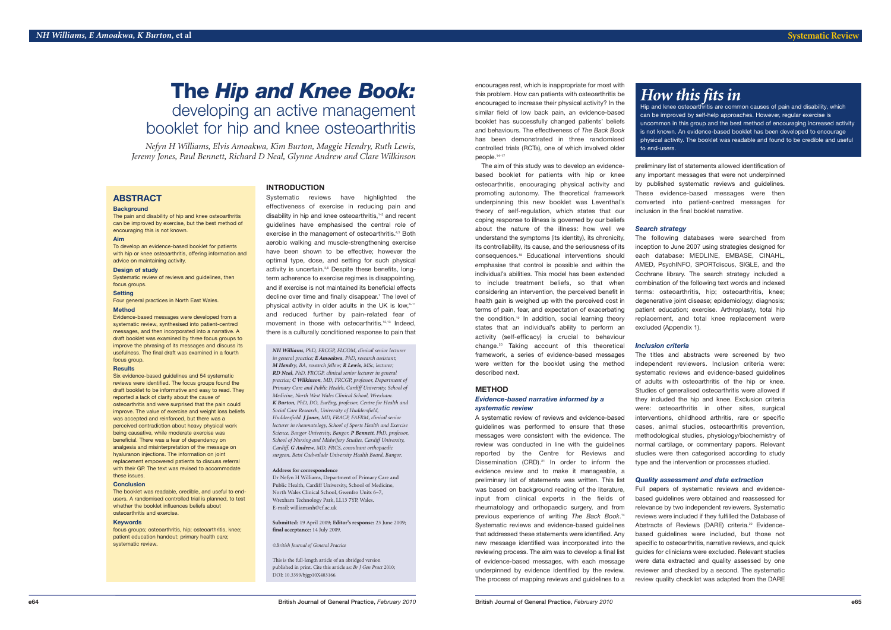encourages rest, which is inappropriate for most with this problem. How can patients with osteoarthritis be encouraged to increase their physical activity? In the similar field of low back pain, an evidence-based booklet has successfully changed patients' beliefs and behaviours. The effectiveness of *The Back Book* has been demonstrated in three randomised controlled trials (RCTs), one of which involved older people. 14–17

The aim of this study was to develop an evidencebased booklet for patients with hip or knee osteoarthritis, encouraging physical activity and promoting autonomy. The theoretical framework underpinning this new booklet was Leventhal's theory of self-regulation, which states that our coping response to illness is governed by our beliefs about the nature of the illness: how well we understand the symptoms (its identity), its chronicity, its controllability, its cause, and the seriousness of its consequences. <sup>18</sup> Educational interventions should emphasise that control is possible and within the individual's abilities. This model has been extended to include treatment beliefs, so that when considering an intervention, the perceived benefit in health gain is weighed up with the perceived cost in terms of pain, fear, and expectation of exacerbating the condition. <sup>19</sup> In addition, social learning theory states that an individual's ability to perform an activity (self-efficacy) is crucial to behaviour change. <sup>20</sup> Taking account of this theoretical framework, a series of evidence-based messages were written for the booklet using the method described next.

# **METHOD**

# *Evidence-based narrative informed by a systematic review*

A systematic review of reviews and evidence-based guidelines was performed to ensure that these messages were consistent with the evidence. The review was conducted in line with the guidelines reported by the Centre for Reviews and Dissemination (CRD). <sup>21</sup> In order to inform the evidence review and to make it manageable, a preliminary list of statements was written. This list was based on background reading of the literature, input from clinical experts in the fields of rheumatology and orthopaedic surgery, and from previous experience of writing *The Back Book*. 14 Systematic reviews and evidence-based guidelines that addressed these statements were identified. Any new message identified was incorporated into the reviewing process. The aim was to develop a final list of evidence-based messages, with each message underpinned by evidence identified by the review. The process of mapping reviews and guidelines to a

preliminary list of statements allowed identification of any important messages that were not underpinned by published systematic reviews and guidelines. These evidence-based messages were then converted into patient-centred messages for inclusion in the final booklet narrative.

Evidence-based messages were developed from a systematic review, synthesised into patient-centred messages, and then incorporated into a narrative. A draft booklet was examined by three focus groups to improve the phrasing of its messages and discuss its usefulness. The final draft was examined in a fourth focus group.

*Search strategy*

The following databases were searched from inception to June 2007 using strategies designed for each database: MEDLINE, EMBASE, CINAHL, AMED, PsychINFO, SPORTdiscus, SIGLE, and the Cochrane library. The search strategy included a combination of the following text words and indexed terms: osteoarthritis, hip; osteoarthritis, knee; degenerative joint disease; epidemiology; diagnosis; patient education; exercise. Arthroplasty, total hip replacement, and total knee replacement were excluded (Appendix 1).

#### *Inclusion criteria*

The titles and abstracts were screened by two independent reviewers. Inclusion criteria were: systematic reviews and evidence-based guidelines of adults with osteoarthritis of the hip or knee. Studies of generalised osteoarthritis were allowed if they included the hip and knee. Exclusion criteria were: osteoarthritis in other sites, surgical interventions, childhood arthritis, rare or specific cases, animal studies, osteoarthritis prevention, methodological studies, physiology/biochemistry of normal cartilage, or commentary papers. Relevant studies were then categorised according to study type and the intervention or processes studied.

Systematic reviews have highlighted the effectiveness of exercise in reducing pain and disability in hip and knee osteoarthritis, 1–3 and recent guidelines have emphasised the central role of exercise in the management of osteoarthritis.<sup>4,5</sup> Both aerobic walking and muscle-strengthening exercise have been shown to be effective; however the optimal type, dose, and setting for such physical activity is uncertain.<sup>3,6</sup> Despite these benefits, longterm adherence to exercise regimes is disappointing, and if exercise is not maintained its beneficial effects decline over time and finally disappear. <sup>7</sup> The level of physical activity in older adults in the UK is low,<sup>8-11</sup> and reduced further by pain-related fear of movement in those with osteoarthritis. 12,13 Indeed, there is a culturally conditioned response to pain that

# *Quality assessment and data extraction*

Full papers of systematic reviews and evidencebased guidelines were obtained and reassessed for relevance by two independent reviewers. Systematic reviews were included if they fulfilled the Database of Abstracts of Reviews (DARE) criteria. <sup>22</sup> Evidencebased guidelines were included, but those not specific to osteoarthritis, narrative reviews, and quick guides for clinicians were excluded. Relevant studies were data extracted and quality assessed by one reviewer and checked by a second. The systematic review quality checklist was adapted from the DARE

# *How this fits in*

Hip and knee osteoarthritis are common causes of pain and disability, which can be improved by self-help approaches. However, regular exercise is uncommon in this group and the best method of encouraging increased activity is not known. An evidence-based booklet has been developed to encourage physical activity. The booklet was readable and found to be credible and useful to end-users.

# **ABSTRACT**

# **Background**

The pain and disability of hip and knee osteoarthritis can be improved by exercise, but the best method of encouraging this is not known.

### **Aim**

To develop an evidence-based booklet for patients with hip or knee osteoarthritis, offering information and advice on maintaining activity.

#### **Design of study**

Systematic review of reviews and guidelines, then focus groups.

### **Setting**

Four general practices in North East Wales.

## **Method**

#### **Results**

Six evidence-based guidelines and 54 systematic reviews were identified. The focus groups found the draft booklet to be informative and easy to read. They reported a lack of clarity about the cause of osteoarthritis and were surprised that the pain could improve. The value of exercise and weight loss beliefs was accepted and reinforced, but there was a perceived contradiction about heavy physical work being causative, while moderate exercise was beneficial. There was a fear of dependency on analgesia and misinterpretation of the message on hyaluranon injections. The information on joint replacement empowered patients to discuss referral with their GP. The text was revised to accommodate these issues.

#### **Conclusion**

The booklet was readable, credible, and useful to endusers. A randomised controlled trial is planned, to test whether the booklet influences beliefs about osteoarthritis and exercise.

#### **Keywords**

focus groups; osteoarthritis, hip; osteoarthritis, knee; patient education handout; primary health care; systematic review.

# **INTRODUCTION**

*NH Williams, PhD, FRCGP, FLCOM, clinical senior lecturer in general practice; E Amoakwa, PhD, research assistant; M Hendry, BA, research fellow; R Lewis, MSc, lecturer; RD Neal, PhD, FRCGP, clinical senior lecturer in general practice; C Wilkinson, MD, FRCGP, professor, Department of Primary Care and Public Health, Cardiff University, School of Medicine, North West Wales Clinical School, Wrexham. K Burton, PhD, DO, EurEng, professor, Centre for Health and Social Care Research, University of Huddersfield, Huddersfield. J Jones, MD, FRACP, FAFRM, clinical senior lecturer in rheumatology, School of Sports Health and Exercise Science, Bangor University, Bangor. P Bennett, PhD, professor, School of Nursing and Midwifery Studies, Cardiff University, Cardiff. G Andrew, MD, FRCS, consultant orthopaedic surgeon, Betsi Cadwaladr University Health Board, Bangor.*

#### **Address for correspondence**

Dr Nefyn H Williams, Department of Primary Care and Public Health, Cardiff University, School of Medicine, North Wales Clinical School, Gwenfro Units 6–7, Wrexham Technology Park, LL13 7YP, Wales. E-mail: williamsnh@cf.ac.uk

**Submitted:** 19 April 2009; **Editor's response:** 23 June 2009; **final acceptance:** 14 July 2009.

*©British Journal of General Practice*

This is the full-length article of an abridged version published in print. Cite this article as: *Br J Gen Pract* 2010; DOI: 10.3399/bjgp10X483166*.*

# **The** *Hip and Knee Book:* developing an active management

booklet for hip and knee osteoarthritis

*Nefyn H Williams, Elvis Amoakwa, Kim Burton, Maggie Hendry, Ruth Lewis, Jeremy Jones, Paul Bennett, Richard D Neal, Glynne Andrew and Clare Wilkinson*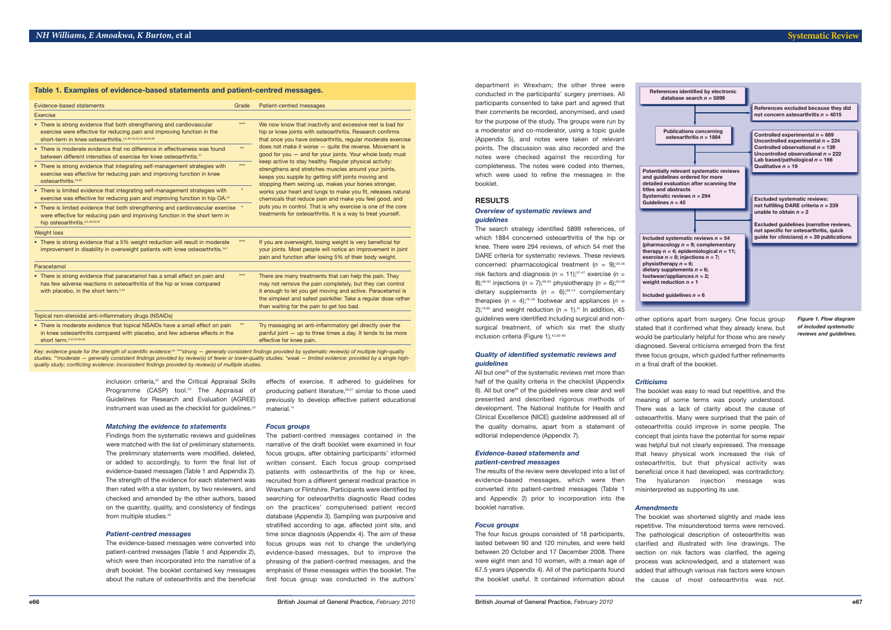inclusion criteria, <sup>22</sup> and the Critical Appraisal Skills Programme (CASP) tool. <sup>23</sup> The Appraisal of Guidelines for Research and Evaluation (AGREE) instrument was used as the checklist for guidelines.<sup>24</sup>

### *Matching the evidence to statements*

Findings from the systematic reviews and guidelines were matched with the list of preliminary statements. The preliminary statements were modified, deleted, or added to accordingly, to form the final list of evidence-based messages (Table 1 and Appendix 2). The strength of the evidence for each statement was then rated with a star system, by two reviewers, and checked and amended by the other authors, based on the quantity, quality, and consistency of findings from multiple studies. 25

#### *Patient-centred messages*

The evidence-based messages were converted into patient-centred messages (Table 1 and Appendix 2), which were then incorporated into the narrative of a draft booklet. The booklet contained key messages about the nature of osteoarthritis and the beneficial

effects of exercise. It adhered to guidelines for producing patient literature, 26,27 similar to those used previously to develop effective patient educational material. 14

*Focus groups*

The search strategy identified 5899 references, of which 1884 concerned osteoarthritis of the hip or knee. There were 294 reviews, of which 54 met the DARE criteria for systematic reviews. These reviews concerned: pharmacological treatment  $(n = 9)$ ;<sup>28-36</sup> risk factors and diagnosis  $(n = 11);^{37-47}$  exercise  $(n = 11)$ 8);<sup>48-55</sup> injections ( $n = 7$ );<sup>56-62</sup> physiotherapy ( $n = 6$ );<sup>63-68</sup> dietary supplements  $(n = 6)$ ;<sup>69-74</sup> complementary therapies  $(n = 4)$ ;<sup>75-78</sup> footwear and appliances  $(n = 1)$  $2$ );<sup>79,80</sup> and weight reduction ( $n = 1$ ).<sup>81</sup> In addition, 45 guidelines were identified including surgical and nonsurgical treatment, of which six met the study inclusion criteria (Figure 1).<sup>4,5,82-85</sup>

The patient-centred messages contained in the narrative of the draft booklet were examined in four focus groups, after obtaining participants' informed written consent. Each focus group comprised patients with osteoarthritis of the hip or knee, recruited from a different general medical practice in Wrexham or Flintshire. Participants were identified by searching for osteoarthritis diagnostic Read codes on the practices' computerised patient record database (Appendix 3). Sampling was purposive and stratified according to age, affected joint site, and time since diagnosis (Appendix 4). The aim of these focus groups was not to change the underlying evidence-based messages, but to improve the phrasing of the patient-centred messages, and the emphasis of these messages within the booklet. The first focus group was conducted in the authors'

All but one<sup>58</sup> of the systematic reviews met more than half of the quality criteria in the checklist (Appendix 6). All but one<sup>85</sup> of the quidelines were clear and well presented and described rigorous methods of development. The National Institute for Health and Clinical Excellence (NICE) guideline addressed all of the quality domains, apart from a statement of editorial independence (Appendix 7).

department in Wrexham; the other three were conducted in the participants' surgery premises. All participants consented to take part and agreed that their comments be recorded, anonymised, and used for the purpose of the study. The groups were run by a moderator and co-moderator, using a topic guide (Appendix 5), and notes were taken of relevant points. The discussion was also recorded and the notes were checked against the recording for completeness. The notes were coded into themes, which were used to refine the messages in the booklet.

### **RESULTS**

# *Overview of systematic reviews and guidelines*

### *Quality of identified systematic reviews and guidelines*

### *Evidence-based statements and patient-centred messages*

The results of the review were developed into a list of evidence-based messages, which were then converted into patient-centred messages (Table 1 and Appendix 2) prior to incorporation into the booklet narrative.

#### *Focus groups*

The four focus groups consisted of 18 participants, lasted between 90 and 120 minutes, and were held between 20 October and 17 December 2008. There were eight men and 10 women, with a mean age of 67.5 years (Appendix 4). All of the participants found the booklet useful. It contained information about

Key: evidence grade for the strength of scientific evidence:25 \*\*\*strong — generally consistent findings provided by systematic review(s) of multiple high-quality studies. \*\*moderate - generally consistent findings provided by review(s) of fewer or lower-quality studies. \*weak - limited evidence: provided by a single high*quality study; conflicting evidence: inconsistent findings provided by review(s) of multiple studies.*

other options apart from surgery. One focus group stated that it confirmed what they already knew, but would be particularly helpful for those who are newly diagnosed. Several criticisms emerged from the first three focus groups, which guided further refinements in a final draft of the booklet.

**titles and abstracts <b>idelines**  $n = 45$ 

**physiotherapy**  $n = 6$ :

#### *Criticisms*

The booklet was easy to read but repetitive, and the meaning of some terms was poorly understood. There was a lack of clarity about the cause of osteoarthritis. Many were surprised that the pain of osteoarthritis could improve in some people. The concept that joints have the potential for some repair was helpful but not clearly expressed. The message that heavy physical work increased the risk of osteoarthritis, but that physical activity was beneficial once it had developed, was contradictory. The hyaluranon injection message was misinterpreted as supporting its use.

#### *Amendments*

The booklet was shortened slightly and made less repetitive. The misunderstood terms were removed. The pathological description of osteoarthritis was clarified and illustrated with line drawings. The section on risk factors was clarified, the ageing process was acknowledged, and a statement was added that although various risk factors were known the cause of most osteoarthritis was not.

| Evidence-based statements                                                                                                                                                                                       | Grade        | Patient-centred messages                                                                                                                                                                                                                                                                        |  |  |  |  |  |  |  |
|-----------------------------------------------------------------------------------------------------------------------------------------------------------------------------------------------------------------|--------------|-------------------------------------------------------------------------------------------------------------------------------------------------------------------------------------------------------------------------------------------------------------------------------------------------|--|--|--|--|--|--|--|
| Exercise                                                                                                                                                                                                        |              |                                                                                                                                                                                                                                                                                                 |  |  |  |  |  |  |  |
| • There is strong evidence that both strengthening and cardiovascular<br>exercise were effective for reducing pain and improving function in the<br>short-term in knee osteoarthritis. 4,5,48-50,52,53,82,84,85 | $***$        | We now know that inactivity and excessive rest is bad for<br>hip or knee joints with osteoarthritis. Research confirms<br>that once you have osteoarthritis, regular moderate exercise                                                                                                          |  |  |  |  |  |  |  |
| • There is moderate evidence that no difference in effectiveness was found<br>between different intensities of exercise for knee osteoarthritis. <sup>51</sup>                                                  | $**$         | does not make it worse $-$ quite the reverse. Movement is<br>good for you $-$ and for your joints. Your whole body must                                                                                                                                                                         |  |  |  |  |  |  |  |
| • There is strong evidence that integrating self-management strategies with<br>exercise was effective for reducing pain and improving function in knee<br>osteoarthritis. <sup>54,55</sup>                      | $***$        | keep active to stay healthy. Regular physical activity:<br>strengthens and stretches muscles around your joints,<br>keeps you supple by getting stiff joints moving and<br>stopping them seizing up, makes your bones stronger,                                                                 |  |  |  |  |  |  |  |
| • There is limited evidence that integrating self-management strategies with<br>exercise was effective for reducing pain and improving function in hip OA. <sup>54</sup>                                        |              | works your heart and lungs to make you fit, releases natural<br>chemicals that reduce pain and make you feel good, and                                                                                                                                                                          |  |  |  |  |  |  |  |
| • There is limited evidence that both strengthening and cardiovascular exercise<br>were effective for reducing pain and improving function in the short term in<br>hip osteoarthritis. 4,5,48,50,52             |              | puts you in control. That is why exercise is one of the core<br>treatments for osteoarthritis. It is a way to treat yourself.                                                                                                                                                                   |  |  |  |  |  |  |  |
| <b>Weight loss</b>                                                                                                                                                                                              |              |                                                                                                                                                                                                                                                                                                 |  |  |  |  |  |  |  |
| • There is strong evidence that a 5% weight reduction will result in moderate<br>improvement in disability in overweight patients with knee osteoarthritis. <sup>5,81</sup>                                     | $***$        | If you are overweight, losing weight is very beneficial for<br>your joints. Most people will notice an improvement in joint<br>pain and function after losing 5% of their body weight.                                                                                                          |  |  |  |  |  |  |  |
| Paracetamol                                                                                                                                                                                                     |              |                                                                                                                                                                                                                                                                                                 |  |  |  |  |  |  |  |
| • There is strong evidence that paracetamol has a small effect on pain and<br>has few adverse reactions in osteoarthritis of the hip or knee compared<br>with placebo, in the short term. <sup>5,33</sup>       | $***$        | There are many treatments that can help the pain. They<br>may not remove the pain completely, but they can control<br>it enough to let you get moving and active. Paracetamol is<br>the simplest and safest painkiller. Take a regular dose rather<br>than waiting for the pain to get too bad. |  |  |  |  |  |  |  |
| Topical non-steroidal anti-inflammatory drugs (NSAIDs)                                                                                                                                                          |              |                                                                                                                                                                                                                                                                                                 |  |  |  |  |  |  |  |
| • There is moderate evidence that topical NSAIDs have a small effect on pain<br>in knee osteoarthritis compared with placebo, and few adverse effects in the<br>short term. 5,32,34,83,85                       | $\star\star$ | Try massaging an anti-inflammatory gel directly over the<br>painful joint $-$ up to three times a day. It tends to be more<br>effective for knee pain.                                                                                                                                          |  |  |  |  |  |  |  |

# **Table 1. Examples of evidence-based statements and patient-centred messages.**



*Figure 1. Flow diagram of included systematic reviews and guidelines.*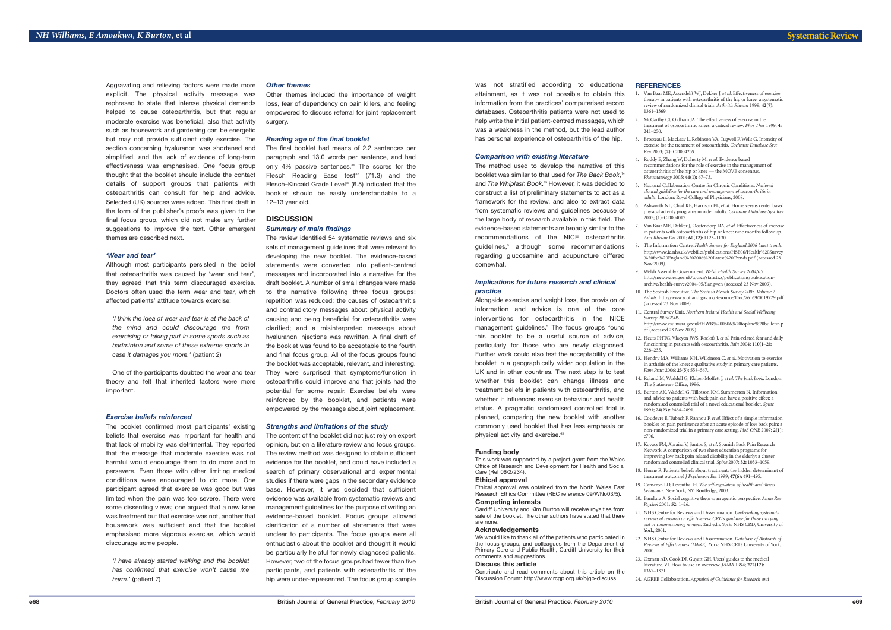was not stratified according to educational attainment, as it was not possible to obtain this information from the practices' computerised record databases. Osteoarthritis patients were not used to help write the initial patient-centred messages, which was a weakness in the method, but the lead author has personal experience of osteoarthritis of the hip.

#### *Comparison with existing literature*

The method used to develop the narrative of this booklet was similar to that used for *The Back Book*, 14 and *The Whiplash Book*. <sup>89</sup> However, it was decided to construct a list of preliminary statements to act as a framework for the review, and also to extract data from systematic reviews and guidelines because of the large body of research available in this field. The evidence-based statements are broadly similar to the recommendations of the NICE osteoarthritis guidelines, <sup>5</sup> although some recommendations regarding glucosamine and acupuncture differed somewhat.

### *Implications for future research and clinical practice*

Alongside exercise and weight loss, the provision of information and advice is one of the core interventions for osteoarthritis in the NICE management guidelines. <sup>5</sup> The focus groups found this booklet to be a useful source of advice, particularly for those who are newly diagnosed. Further work could also test the acceptability of the booklet in a geographically wider population in the UK and in other countries. The next step is to test whether this booklet can change illness and treatment beliefs in patients with osteoarthritis, and whether it influences exercise behaviour and health status. A pragmatic randomised controlled trial is planned, comparing the new booklet with another commonly used booklet that has less emphasis on physical activity and exercise. 45

#### **Funding body**

This work was supported by a project grant from the Wales Office of Research and Development for Health and Social Care (Ref 06/2/234).

### **Ethical approval**

Ethical approval was obtained from the North Wales East Research Ethics Committee (REC reference 09/WNo03/5). **Competing interests**

Cardiff University and Kim Burton will receive royalties from sale of the booklet. The other authors have stated that there are none.

#### **Acknowledgements**

We would like to thank all of the patients who participated in the focus groups, and colleagues from the Department of Primary Care and Public Health, Cardiff University for their comments and suggestions.

#### **Discuss this article**

Contribute and read comments about this article on the Discussion Forum: http://www.rcgp.org.uk/bjgp-discuss

#### **REFERENCES**

1. Van Baar ME, Assendelft WJ, Dekker J,*et al*. Effectiveness of exercise therapy in patients with osteoarthritis of the hip or knee: a systematic review of randomized clinical trials. *Arthritis Rheum* 1999; **42(7):**

7. Van Baar ME, Dekker J, Oostendorp RA,*et al*. Effectiveness of exercise in patients with osteoarthritis of hip or knee: nine months follow up.

Other themes included the importance of weight loss, fear of dependency on pain killers, and feeling empowered to discuss referral for joint replacement surgery.

functioning in patients with osteoarthritis. *Pain* 2004; **110(1–2):**

- 1361–1369.
- 2. McCarthy CJ, Oldham JA. The effectiveness of exercise in the treatment of osteoarthritic knees: a critical review. *Phys Ther* 1999; **4:** 241–250.
	- 3. Brosseau L, MacLeay L, Robinson VA, Tugwell P, Wells G. Intensity of exercise for the treatment of osteoarthritis. *Cochrane Database Syst* Rev 2003; **(2):** CD004259.
	- 4. Roddy E, Zhang W, Doherty M,*et al*. Evidence based recommendations for the role of exercise in the management of osteoarthritis of the hip or knee — the MOVE consensus. *Rheumatology* 2005; **44(1):** 67–73.
	- 5. National Collaboration Centre for Chronic Conditions. *National clinical guideline for the care and management of osteoarthritis in adults*. London: Royal College of Physicians, 2008.
	- 6. Ashworth NL, Chad KE, Harrison EL,*et al*. Home versus center based physical activity programs in older adults. *Cochrane Database Syst Rev* 2005; **(1):** CD004017.
	- *Ann Rheum Dis* 2001; **60(12):** 1123–1130. 8. The Information Centre. *Health Survey for England 2006 latest trends.* http://www.ic.nhs.uk/webfiles/publications/HSE06/Health%20Survey %20for%20England%202006%20Latest%20Trends.pdf (accessed 23
	- Nov 2009). 9. Welsh Assembly Government. *Welsh Health Survey 2004/05.* http://new.wales.gov.uk/topics/statistics/publications/publicationarchive/health-survey2004-05/?lang=en (accessed 23 Nov 2009).
	- 10. The Scottish Executive. *The Scottish Health Survey 2003. Volume 2 Adults.* http://www.scotland.gov.uk/Resource/Doc/76169/0019729.pdf (accessed  $23$  Nov 2009).
	- 11. Central Survey Unit. *Northern Ireland Health and Social Wellbeing Survey 2005/2006*. http://www.csu.nisra.gov.uk/HWB%200506%20topline%20bulletin.p df (accessed 23 Nov 2009). 12. Heuts PHTG,Vlaeyen JWS, Roelofs J,*et al*. Pain-related fear and daily
	- 228–235. 13. Hendry MA, Williams NH, Wilkinson C,*et al*. Motivation to exercise in arthritis of the knee: a qualitative study in primary care patients. *Fam Pract* 2006; **23(5):** 558–567.
	- 14. Roland M, Waddell G, Klaber-Moffett J,*et al*. *The back book*. London: The Stationery Office, 1996.
	- 15. Burton AK, Waddell G, Tillotson KM, Summerton N. Information and advice to patients with back pain can have a positive effect: a randomised controlled trial of a novel educational booklet. *Spine* 1991; **24(23):** 2484–2891.
	- e706.
	- 17. Kovacs FM, Abraira V, Santos S,*et al*. Spanish Back Pain Research Network. A comparison of two short education programs for improving low back pain related disability in the elderly: a cluster randomised controlled clinical trial. *Spine* 2007; **32:** 1053–1059.
	- treatment outcome? *J Psychosom Res* 1999; **47(6):** 491–495. 19. Cameron LD, Leventhal H. *The self-regulation of health and illness behaviour*. New York, NY: Routledge, 2003.
	-
	- *Psychol* 2001; **52:** 1–26.
	- 21. NHS Centre for Reviews and Dissemination. *Undertaking systematic reviews of research on effectiveness: CRD's guidance for those carrying out or commissioning reviews.* 2nd edn. York: NHS CRD, University of York, 2001.
	- 22. NHS Centre for Reviews and Dissemination. *Database of Abstracts of Reviews of Effectiveness (DARE)*. York: NHS CRD, University of York, 2000.
	- 23. Oxman AD, Cook DJ, Guyatt GH. Users' guides to the medical literature.VI. How to use an overview. *JAMA* 1994; **272(17):** 1367–1371.
	- 24. AGREE Collaboration. *Appraisal of Guidelines for Research and*
- 16. Coudeyre E, Tubach F, Rannou F,*et al*. Effect of a simple information booklet on pain persistence after an acute episode of low back pain: a non-randomized trial in a primary care setting. *PloS ONE* 2007; **2(1):**
- 18. Horne R. Patients' beliefs about treatment: the hidden determinant of
- 20. Bandura A. Social cognitive theory: an agentic perspective. *Annu Rev*

**British Journal of General Practice,** *February 2010*

# **Systematic Review**

Aggravating and relieving factors were made more explicit. The physical activity message was rephrased to state that intense physical demands helped to cause osteoarthritis, but that regular moderate exercise was beneficial, also that activity such as housework and gardening can be energetic but may not provide sufficient daily exercise. The section concerning hyaluranon was shortened and simplified, and the lack of evidence of long-term effectiveness was emphasised. One focus group thought that the booklet should include the contact details of support groups that patients with osteoarthritis can consult for help and advice. Selected (UK) sources were added. This final draft in the form of the publisher's proofs was given to the final focus group, which did not make any further suggestions to improve the text. Other emergent themes are described next.

### *'Wear and tear'*

Although most participants persisted in the belief that osteoarthritis was caused by 'wear and tear', they agreed that this term discouraged exercise. Doctors often used the term wear and tear, which affected patients' attitude towards exercise:

*'I think the idea of wear and tear is at the back of the mind and could discourage me from exercising or taking part in some sports such as badminton and some of these extreme sports in case it damages you more.'* (patient 2)

One of the participants doubted the wear and tear theory and felt that inherited factors were more important.

#### *Exercise beliefs reinforced*

The booklet confirmed most participants' existing beliefs that exercise was important for health and that lack of mobility was detrimental. They reported that the message that moderate exercise was not harmful would encourage them to do more and to persevere. Even those with other limiting medical conditions were encouraged to do more. One participant agreed that exercise was good but was limited when the pain was too severe. There were some dissenting views; one argued that a new knee was treatment but that exercise was not, another that housework was sufficient and that the booklet emphasised more vigorous exercise, which would discourage some people.

*'I have already started walking and the booklet has confirmed that exercise won't cause me harm.'* (patient 7)

#### *Other themes*

#### *Reading age of the final booklet*

The final booklet had means of 2.2 sentences per paragraph and 13.0 words per sentence, and had only 4% passive sentences. <sup>86</sup> The scores for the Flesch Reading Ease test<sup>87</sup> (71.3) and the Flesch–Kincaid Grade Level <sup>88</sup> (6.5) indicated that the booklet should be easily understandable to a 12–13 year old.

### **DISCUSSION**

#### *Summary of main findings*

The review identified 54 systematic reviews and six sets of management guidelines that were relevant to developing the new booklet. The evidence-based statements were converted into patient-centred messages and incorporated into a narrative for the draft booklet. A number of small changes were made to the narrative following three focus groups: repetition was reduced; the causes of osteoarthritis and contradictory messages about physical activity causing and being beneficial for osteoarthritis were clarified; and a misinterpreted message about hyaluranon injections was rewritten. A final draft of the booklet was found to be acceptable to the fourth and final focus group. All of the focus groups found the booklet was acceptable, relevant, and interesting. They were surprised that symptoms/function in osteoarthritis could improve and that joints had the potential for some repair. Exercise beliefs were reinforced by the booklet, and patients were empowered by the message about joint replacement.

#### *Strengths and limitations of the study*

The content of the booklet did not just rely on expert opinion, but on a literature review and focus groups. The review method was designed to obtain sufficient evidence for the booklet, and could have included a search of primary observational and experimental studies if there were gaps in the secondary evidence base. However, it was decided that sufficient evidence was available from systematic reviews and management guidelines for the purpose of writing an evidence-based booklet. Focus groups allowed clarification of a number of statements that were unclear to participants. The focus groups were all enthusiastic about the booklet and thought it would be particularly helpful for newly diagnosed patients. However, two of the focus groups had fewer than five participants, and patients with osteoarthritis of the hip were under-represented. The focus group sample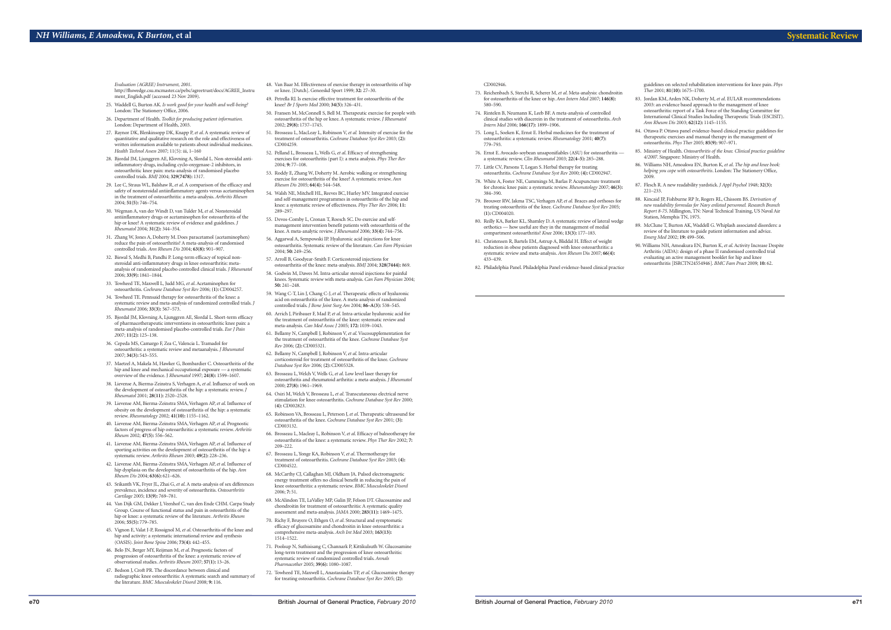#### CD002946.

- 73. Reichenbach S, Sterchi R, Scherer M,*et al*. Meta-analysis: chondroitin for osteoarthritis of the knee or hip. *Ann Intern Med* 2007; **146(8):** 580–590.
- 74. Rintelen B, Neumann K, Leeb BF. A meta-analysis of controlled clinical studies with diacerein in the treatment of osteoarthritis. *Arch Intern Med* 2006; **166(17):** 1899–1906.
- 75. Long L, Soeken K, Ernst E. Herbal medicines for the treatment of osteoarthritis: a systematic review. *Rheumatology* 2001; **40(7):** 779–793.
- 76. Ernst E. Avocado-soybean unsaponifiables (ASU) for osteoarthritis a systematic review. *Clin Rheumatol* 2003; **22(4–5):** 285–288.
- 77. Little CV, Parsons T, Logan S. Herbal therapy for treating osteoarthritis. *Cochrane Database Syst Rev* 2000; **(4):** CD002947.
- for chronic knee pain: a systematic review. *Rheumatology* 2007; **46(3):** 384–390.
- 79. Brouwer RW, Jakma TSC,Verhagen AP,*et al.* Braces and orthoses for treating osteoarthritis of the knee. *Cochrane Database Syst Rev* 2005; **(1):** CD004020.
- 80. Reilly KA, Barker KL, Shamley D. A systematic review of lateral wedge orthotics — how useful are they in the management of medial compartment osteoarthritis? *Knee* 2006; **13(3):** 177–183.
- reduction in obese patients diagnosed with knee osteoarthritis: a systematic review and meta-analysis. *Ann Rheum* Dis 2007; **66(4):** 433–439.
- 
- 78. White A, Foster NE, Cummings M, Barlas P. Acupuncture treatment
	-
- 
- 
- 81. Christensen R, Bartels EM, Astrup A, Bliddal H. Effect of weight
- 82. Philadelphia Panel. Philadelphia Panel evidence-based clinical practice
- 83. Jordan KM, Arden NK, Doherty M,*et al*. EULAR recommendations 2003: an evidence based approach to the management of knee osteoarthritis: report of a Task Force of the Standing Committee for International Clinical Studies Including Therapeutic Trials (ESCISIT). *Ann Rheum Dis* 2003; **62(12):** 1145–1155.
- 84. Ottawa P. Ottawa panel evidence-based clinical practice guidelines for therapeutic exercises and manual therapy in the management of osteoarthritis. *Phys Ther* 2005; **85(9):** 907–971.
- 
- guidelines on selected rehabilitation interventions for knee pain. *Phys Ther* 2001; **81(10):** 1675–1700.
- 85. Ministry of Health. *Osteoarthritis of the knee. Clinical practice guideline 4/2007*. Singapore: Ministry of Health.
- 86. Williams NH, Amoakwa EN, Burton K,*et al*. *The hip and knee book: helping you cope with osteoarthritis*. London: The Stationery Office,
- 87. Flesch R. A new readability yardstick. *J Appl Psychol* 1948; **32(3):**
- 88. Kincaid JP, Fishburne RP Jr, Rogers RL, Chissom BS. *Derivation of new readability formulas for Navy enlisted personnel. Research Branch Report 8-75*. Millington, TN: Naval Technical Training, US Naval Air Station, Memphis TN, 1975.
- 89. McClune T, Burton AK, Waddell G. Whiplash associated disorders: a review of the literature to guide patient information and advice. *Emerg Med* 2002; **19:** 499–506.
- 90. Williams NH, Amoakura EN, Burton K,*et al*. Activity Increase Despite Arthritis (AIDA): design of a phase II randomised controlled trial evaluating an active management booklet for hip and knee osteoarthritis [ISRCTN24554946]. *BMC Fam Pract* 2009; **10:** 62.

2009.

221–233.

# **Systematic Review**

*Evaluation (AGREE) Instrument, 2001*. http://fhswedge.csu.mcmaster.ca/pebc/agreetrust/docs/AGREE\_Instru

- ment\_English.pdf (accessed 23 Nov 2009). 25. Waddell G, Burton AK. *Is work good for your health and well-being?*
- London: The Stationery Office, 2006.
- 26. Department of Health. *Toolkit for producing patient information.* London: Department of Health, 2003.
- 27. Raynor DK, Blenkinsopp DK, Knapp P,*et al*. A systematic review of quantitative and qualitative research on the role and effectiveness of written information available to patients about individual medicines. *Health Technol Assess* 2007; 11(5): iii, 1–160
- 28. Bjordal JM, Ljunggren AE, Klovning A, Slordal L. Non-steroidal antiinflammatory drugs, including cyclo-oxygenase-2 inhibitors, in osteoarthritic knee pain: meta-analysis of randomised placebo controlled trials. *BMJ* 2004; **329(7478):** 1317.
- 29. Lee C, Straus WL, Balshaw R,*et al*. A comparison of the efficacy and safety of nonsteroidal antiinflammatory agents versus acetaminophen in the treatment of osteoarthritis: a meta-analysis. *Arthritis Rheum* 2004; **51(5):** 746–754.
- 30. Wegman A, van der Windt D, van Tulder M,*et al*. Nonsteroidal antiinflammatory drugs or acetaminophen for osteoarthritis of the hip or knee? A systematic review of evidence and guidelines. *J Rheumatol* 2004; **31(2):** 344–354.
- 31. Zhang W, Jones A, Doherty M. Does paracetamol (acetaminophen) reduce the pain of osteoarthritis? A meta-analysis of randomised controlled trials. *Ann Rheum Dis* 2004; **63(8):** 901–907.
- 32. Biswal S, Medhi B, Pandhi P. Long-term efficacy of topical nonsteroidal anti-inflammatory drugs in knee osteoarthritis: metaanalysis of randomized placebo controlled clinical trials. *J Rheumatol* 2006; **33(9):** 1841–1844.
- 33. Towheed TE, Maxwell L, Judd MG,*et al*. Acetaminophen for osteoarthritis. *Cochrane Database Syst Rev* 2006; **(1):** CD004257.
- 34. Towheed TE. Pennsaid therapy for osteoarthritis of the knee: a systematic review and meta-analysis of randomized controlled trials. *J Rheumatol* 2006; **33(3):** 567–573.
- 35. Bjordal JM, Klovning A, Ljunggren AE, Slordal L. Short-term efficacy of pharmacotherapeutic interventions in osteoarthritic knee pain: a meta-analysis of randomised placebo-controlled trials. *Eur J Pain 2*007; **11(2):** 125–138.
- 36. Cepeda MS, Camargo F, Zea C,Valencia L. Tramadol for osteoarthritis: a systematic review and metaanalysis. *J Rheumatol* 2007; **34(3):** 543–555.
- 37. Maetzel A, Makela M, Hawker G, Bombardier C. Osteoarthritis of the hip and knee and mechanical occupational exposure — a systematic overview of the evidence. J *Rheumatol* 1997; **24(8):** 1599–1607.
- 38. Lievense A, Bierma-Zeinstra S,Verhagen A,*et al*. Influence of work on the development of osteoarthritis of the hip: a systematic review. *J Rheumatol* 2001; **28(11):** 2520–2528.
- 39. Lievense AM, Bierma-Zeinstra SMA,Verhagen AP,*et al*. Influence of obesity on the development of osteoarthritis of the hip: a systematic review. *Rheumatology* 2002; **41(10):** 1155–1162.
- 40. Lievense AM, Bierma-Zeinstra SMA,Verhagen AP,*et al*. Prognostic factors of progress of hip osteoarthritis: a systematic review. *Arthritis Rheum* 2002; **47(5):** 556–562.
- 41. Lievense AM, Bierma-Zeinstra SMA,Verhagen AP,*et al*. Influence of sporting activities on the development of osteoarthritis of the hip: a systematic review. *Arthritis Rheum* 2003; **49(2):** 228–236.
- 42. Lievense AM, Bierma-Zeinstra SMA,Verhagen AP,*et al*. Influence of hip dysplasia on the development of osteoarthritis of the hip. *Ann Rheum Dis* 2004; **63(6):** 621–626.
- 43. Srikanth VK, Fryer JL, Zhai G,*et al*. A meta-analysis of sex differences prevalence, incidence and severity of osteoarthritis. *Osteoarthritis Cartilage* 2005; **13(9):** 769–781.
- 44. Van Dijk GM, Dekker J,Veenhof C, van den Ende CHM. Carpa Study Group. Course of functional status and pain in osteoarthritis of the hip or knee: a systematic review of the literature. *Arthritis Rheum* 2006; **55(5):** 779–785.
- 45. Vignon E,Valat J-P, Rossignol M,*et al*. Osteoarthritis of the knee and hip and activity: a systematic international review and synthesis (OASIS). *Joint Bone Spine* 2006; **73(4):** 442–455.
- 46. Belo JN, Berger MY, Reijman M,*et al*. Prognostic factors of progression of osteoarthritis of the knee: a systematic review of observational studies. *Arthritis Rheum* 2007; **57(1):** 13–26.
- 47. Bedson J, Croft PR. The discordance between clinical and radiographic knee osteoarthritis: A systematic search and summary of the literature. *BMC Musculoskelet Disord* 2008; **9:** 116.
- 48. Van Baar M. Effectiveness of exercise therapy in osteoarthritis of hip or knee.[Dutch]. Geneeskd Sport 1999; **32:** 27–30.
- 49. Petrella RJ. Is exercise effective treatment for osteoarthritis of the knee? *Br J Sports Med* 2000; **34(5):** 326–431.
- 50. Fransen M, McConnell S, Bell M. Therapeutic exercise for people with osteoarthritis of the hip or knee. A systematic review. *J Rheumatol* 2002; **29(8):** 1737–1745.
- 51. Brosseau L, MacLeay L, Robinson V,*et al.* Intensity of exercise for the treatment of osteoarthritis. *Cochrane Database Syst Rev* 2003; **(2):** CD004259.
- 52. Pelland L, Brosseau L, Wells G,*et al*. Efficacy of strengthening exercises for osteoarthritis (part I): a meta analysis. *Phys Ther Rev* 2004; **9:** 77–108.
- 53. Roddy E, Zhang W, Doherty M. Aerobic walking or strengthening exercise for osteoarthritis of the knee? A systematic review. *Ann Rheum Dis* 2005; **64(4):** 544–548.
- 54. Walsh NE, Mitchell HL, Reeves BC, Hurley MV. Integrated exercise and self-management programmes in osteoarthritis of the hip and knee: a systematic review of effectiveness. *Phys Ther Rev* 2006; **11:** 289–297.
- 55. Devos-Comby L, Cronan T, Roesch SC. Do exercise and selfmanagement intervention benefit patients with osteoarthritis of the knee. A meta-analytic review. *J Rheumatol* 2006; **33(4):** 744–756.
- 56. Aggarwal A, Sempowski IP. Hyaluronic acid injections for knee osteoarthritis. Systematic review of the literature. *Can Fam Physician* 2004; **50:** 249–256.
- 57. Arroll B, Goodyear-Smith F. Corticosteroid injections for osteoarthritis of the knee: meta-analysis. *BMJ* 2004; **328(7444):** 869.
- 58. Godwin M, Dawes M. Intra-articular steroid injections for painful knees. Systematic review with meta-analysis. *Can Fam Physician* 2004; **50:** 241–248.
- 59. Wang C-T, Lin J, Chang C-J,*et al*. Therapeutic effects of hyaluronic acid on osteoarthritis of the knee. A meta-analysis of randomized controlled trials. *J Bone Joint Surg Am* 2004; **86–A(3):** 538–545.
- 60. Arrich J, Piribauer F, Mad P,*et al*. Intra-articular hyaluronic acid for the treatment of osteoarthritis of the knee: systematic review and meta-analysis. *Can Med Assoc J* 2005; **172:** 1039–1043.
- 61. Bellamy N, Campbell J, Robinson V,*et al*.Viscosupplementation for the treatment of osteoarthritis of the knee. *Cochrane Database Syst Rev* 2006; **(2):** CD005321.
- 62. Bellamy N, Campbell J, Robinson V,*et al*. Intra-articular corticosteroid for treatment of osteoarthritis of the knee. *Cochrane Database Syst Rev* 2006; **(2):** CD005328.
- 63. Brosseau L, Welch V, Wells G,*et al*. Low level laser therapy for osteoarthritis and rheumatoid arthritis: a meta-analysis. *J Rheumatol* 2000; **27(8):** 1961–1969.
- 64. Osiri M, Welch V, Brosseau L,*et al*. Transcutaneous electrical nerve stimulation for knee osteoarthritis. *Cochrane Database Syst Rev* 2000; **(4):** CD002823.
- 65. Robinson VA, Brosseau L, Peterson J,*et al*. Therapeutic ultrasound for osteoarthritis of the knee. *Cochrane Database Syst Rev* 2001; **(3):** CD003132.
- 66. Brosseau L, Macleay L, Robinson V,*et al*. Efficacy of balneotherapy for osteoarthritis of the knee: a systematic review. *Phys Ther Rev* 2002; **7:** 209–222.
- 67. Brosseau L, Yonge KA, Robinson V,*et al*. Thermotherapy for treatment of osteoarthritis. *Cochrane Database Syst Rev* 2003; **(4):** CD004522.
- 68. McCarthy CJ, Callaghan MJ, Oldham JA. Pulsed electromagnetic energy treatment offers no clinical benefit in reducing the pain of knee osteoarthritis: a systematic review. *BMC Musculoskelet Disord* 2006; **7:** 51.
- 69. McAlindon TE, LaValley MP, Gulin JP, Felson DT. Glucosamine and chondroitin for treatment of osteoarthritis: A systematic quality assessment and meta-analysis. *JAMA* 2000; **283(11):** 1469–1475.
- 70. Richy F, Bruyere O, Ethgen O,*et al*. Structural and symptomatic efficacy of glucosamine and chondroitin in knee osteoarthritis: a comprehensive meta-analysis. *Arch Int Med* 2003; **163(13):** 1514–1522.
- 71. Poolsup N, Suthisisang C, Channark P, Kittikulsuth W. Glucosamine long-term treatment and the progression of knee osteoarthritis: systematic review of randomized controlled trials. *Annals Pharmacother* 2005; **39(6):** 1080–1087.
- 72. Towheed TE, Maxwell L, Anastassiades TP,*et al*. Glucosamine therapy for treating osteoarthritis. *Cochrane Database Syst Rev* 2005; **(2):**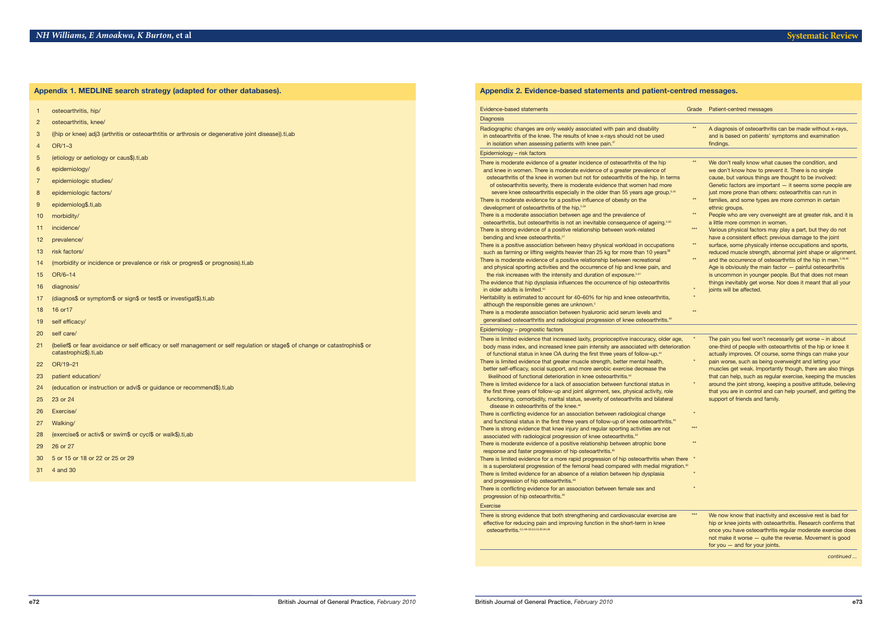- 1 osteoarthritis, hip/
- 2 osteoarthritis, knee/
- 3 ((hip or knee) adj3 (arthritis or osteoarthtitis or arthrosis or degenerative joint disease)).ti,ab
- 4 OR/1–3
- 5 (etiology or aetiology or caus\$).ti,ab
- 6 epidemiology/
- 7 epidemiologic studies/
- 8 epidemiologic factors/
- 9 epidemiolog\$.ti,ab
- 10 morbidity/
- 11 incidence/
- 12 prevalence/
- 13 risk factors/
- 14 (morbidity or incidence or prevalence or risk or progres\$ or prognosis).ti,ab
- 15 OR/6–14
- 16 diagnosis/
- 17 (diagnos\$ or symptom\$ or sign\$ or test\$ or investigat\$).ti,ab
- 18 16 or17
- 19 self efficacy/
- 20 self care/
- 21 (belief\$ or fear avoidance or self efficacy or self management or self regulation or stage\$ of change or catastrophis\$ or catastrophiz\$).ti,ab
- 22 OR/19–21
- 23 patient education/
- 24 (education or instruction or advi\$ or guidance or recommend\$).ti,ab
- 25 23 or 24
- 26 Exercise/
- 27 Walking/
- 28 (exercise\$ or activ\$ or swim\$ or cycl\$ or walk\$).ti,ab
- 29 26 or 27
- 30 5 or 15 or 18 or 22 or 25 or 29
- 31 4 and 30

| Appendix 1. MEDLINE search strategy (adapted for other databases). |
|--------------------------------------------------------------------|
|--------------------------------------------------------------------|

### Epidemiology – risk factors

- There is moderate evidence of a greater incidence of osteoarthritis of the hip and knee in women. There is moderate evidence of a greater prevalence of
- osteoarthritis of the knee in women but not for osteoarthritis of the hip. In ter of osteoarthritis severity, there is moderate evidence that women had more
- severe knee osteoarthritis especially in the older than 55 years age group.<sup>5</sup> There is moderate evidence for a positive influence of obesity on the

# development of osteoarthritis of the hip.<sup>5,39</sup>

- There is a moderate association between age and the prevalence of osteoarthritis, but osteoarthritis is not an inevitable consequence of ageing. There is strong evidence of a positive relationship between work-related bending and knee osteoarthritis.<sup>37</sup>
- There is a positive association between heavy physical workload in occupations such as farming or lifting weights heavier than 25 kg for more than 10 years<sup>38</sup> There is moderate evidence of a positive relationship between recreational and physical sporting activities and the occurrence of hip and knee pain, and
- the risk increases with the intensity and duration of exposure.
- The evidence that hip dysplasia influences the occurrence of hip osteoarthritis in older adults is limited.<sup>42</sup>  $^{\ast}$  joints will be affected. The according term of the according term  $^{\ast}$  binners will be affected.
- Heritability is estimated to account for 40–60% for hip and knee osteoarthritis, although the responsible genes are unknown.<sup>5</sup>
- There is a moderate association between hyaluronic acid serum levels and generalised osteoarthritis and radiological progression of knee osteoarthritis. 46

|                                                                                                                                                                                                                                                                    | Grade           | Patient-centred messages                                                                                                                                                                                                                                                                       |
|--------------------------------------------------------------------------------------------------------------------------------------------------------------------------------------------------------------------------------------------------------------------|-----------------|------------------------------------------------------------------------------------------------------------------------------------------------------------------------------------------------------------------------------------------------------------------------------------------------|
|                                                                                                                                                                                                                                                                    |                 |                                                                                                                                                                                                                                                                                                |
| eakly associated with pain and disability<br>results of knee x-rays should not be used<br>tients with knee pain. <sup>47</sup>                                                                                                                                     | $**$            | A diagnosis of osteoarthritis can be made without x-rays,<br>and is based on patients' symptoms and examination<br>findings.                                                                                                                                                                   |
|                                                                                                                                                                                                                                                                    |                 |                                                                                                                                                                                                                                                                                                |
| greater incidence of osteoarthritis of the hip<br>oderate evidence of a greater prevalence of<br>men but not for osteoarthritis of the hip. In terms<br>is moderate evidence that women had more<br>pecially in the older than 55 years age group. <sup>5,43</sup> | $**$            | We don't really know what causes the condition, and<br>we don't know how to prevent it. There is no single<br>cause, but various things are thought to be involved:<br>Genetic factors are important - it seems some people are<br>just more prone than others: osteoarthritis can run in      |
| positive influence of obesity on the<br>the hip. 5,39                                                                                                                                                                                                              | $\star\star$    | families, and some types are more common in certain<br>ethnic groups.                                                                                                                                                                                                                          |
| etween age and the prevalence of<br>s not an inevitable consequence of ageing. <sup>5,40</sup>                                                                                                                                                                     | $**$            | People who are very overweight are at greater risk, and it is<br>a little more common in women.                                                                                                                                                                                                |
| itive relationship between work-related                                                                                                                                                                                                                            | $***$           | Various physical factors may play a part, but they do not<br>have a consistent effect: previous damage to the joint                                                                                                                                                                            |
| tween heavy physical workload in occupations<br>s heavier than 25 kg for more than 10 years <sup>38</sup>                                                                                                                                                          | $\star\star$    | surface, some physically intense occupations and sports,<br>reduced muscle strength, abnormal joint shape or alignment.                                                                                                                                                                        |
| positive relationship between recreational<br>and the occurrence of hip and knee pain, and<br>nsity and duration of exposure. <sup>5,41</sup><br>ifluences the occurrence of hip osteoarthritis                                                                    | $**$<br>$\star$ | and the occurrence of osteoarthritis of the hip in men. <sup>5,38,46</sup><br>Age is obviously the main factor $-$ painful osteoarthritis<br>is uncommon in younger people. But that does not mean<br>things inevitably get worse. Nor does it meant that all your<br>joints will be affected. |
| t for 40–60% for hip and knee osteoarthritis,<br>are unknown. <sup>5</sup>                                                                                                                                                                                         |                 |                                                                                                                                                                                                                                                                                                |
| etween hyaluronic acid serum levels and<br>diological progression of knee osteoarthritis 46                                                                                                                                                                        | $**$            |                                                                                                                                                                                                                                                                                                |

There is strong evidence that both strengthening and cardiovascular exercise are effective for reducing pain and improving function in the short-term in knee osteoarthritis.

# Epidemiology – prognostic factors

- There is limited evidence that increased laxity, proprioceptive inaccuracy, older a body mass index, and increased knee pain intensity are associated with deterioration of people with of people of functional status in knee OA during the first three years of follow-up.
- There is limited evidence that greater muscle strength, better mental health, better self-efficacy, social support, and more aerobic exercise decrease the likelihood of functional deterioration in knee osteoarthritis.
- There is limited evidence for a lack of association between functional status in the first three years of follow-up and joint alignment, sex, physical activity, role
- functioning, comorbidity, marital status, severity of osteoarthritis and bilateral disease in osteoarthritis of the knee.<sup>44</sup>
- There is conflicting evidence for an association between radiological change \* and functional status in the first three years of follow-up of knee osteoarthritis.<sup>44</sup> There is strong evidence that knee injury and regular sporting activities are not associated with radiological progression of knee osteoarthritis.<sup>45</sup>
- There is moderate evidence of a positive relationship between atrophic bone \*\* response and faster progression of hip osteoarthritis.<sup>40</sup>
- There is limited evidence for a more rapid progression of hip osteoarthritis when is a superolateral progression of the femoral head compared with medial migration. There is limited evidence for an absence of a relation between hip dysplasia \* and progression of hip osteoarthritis.<sup>40</sup>
- There is conflicting evidence for an association between female sex and \* progression of hip osteoarthritis.<sup>40</sup>

| evidence that increased laxity, proprioceptive inaccuracy, older age,<br>ex, and increased knee pain intensity are associated with deterioration<br>status in knee OA during the first three years of follow-up. <sup>44</sup><br>evidence that greater muscle strength, better mental health,<br>acy, social support, and more aerobic exercise decrease the<br>functional deterioration in knee osteoarthritis. <sup>44</sup><br>evidence for a lack of association between functional status in<br>ears of follow-up and joint alignment, sex, physical activity, role<br>omorbidity, marital status, severity of osteoarthritis and bilateral<br>steoarthritis of the knee. <sup>44</sup><br>ng evidence for an association between radiological change<br>status in the first three years of follow-up of knee osteoarthritis. <sup>44</sup><br>evidence that knee injury and regular sporting activities are not<br>1 radiological progression of knee osteoarthritis. <sup>45</sup><br>te evidence of a positive relationship between atrophic bone<br>aster progression of hip osteoarthritis. <sup>40</sup><br>evidence for a more rapid progression of hip osteoarthritis when there<br>ral progression of the femoral head compared with medial migration. <sup>40</sup><br>evidence for an absence of a relation between hip dysplasia<br>n of hip osteoarthritis. <sup>40</sup><br>ng evidence for an association between female sex and<br>hip osteoarthritis. <sup>40</sup> | $\ast$<br>$\star$<br>$\ast$<br>***<br>$**$<br>$\star$ | The pain you feel won't necessarily get worse – in about<br>one-third of people with osteoarthritis of the hip or knee it<br>actually improves. Of course, some things can make your<br>pain worse, such as being overweight and letting your<br>muscles get weak. Importantly though, there are also things<br>that can help, such as regular exercise, keeping the muscles<br>around the joint strong, keeping a positive attitude, believing<br>that you are in control and can help yourself, and getting the<br>support of friends and family. |
|--------------------------------------------------------------------------------------------------------------------------------------------------------------------------------------------------------------------------------------------------------------------------------------------------------------------------------------------------------------------------------------------------------------------------------------------------------------------------------------------------------------------------------------------------------------------------------------------------------------------------------------------------------------------------------------------------------------------------------------------------------------------------------------------------------------------------------------------------------------------------------------------------------------------------------------------------------------------------------------------------------------------------------------------------------------------------------------------------------------------------------------------------------------------------------------------------------------------------------------------------------------------------------------------------------------------------------------------------------------------------------------------------------------------------------------------------------------------------------------------|-------------------------------------------------------|-----------------------------------------------------------------------------------------------------------------------------------------------------------------------------------------------------------------------------------------------------------------------------------------------------------------------------------------------------------------------------------------------------------------------------------------------------------------------------------------------------------------------------------------------------|
| evidence that both strengthening and cardiovascular exercise are<br>ducing pain and improving function in the short-term in knee<br>4,5,48-50,52,53,82,84,85                                                                                                                                                                                                                                                                                                                                                                                                                                                                                                                                                                                                                                                                                                                                                                                                                                                                                                                                                                                                                                                                                                                                                                                                                                                                                                                               | $***$                                                 | We now know that inactivity and excessive rest is bad for<br>hip or knee joints with osteoarthritis. Research confirms that<br>once you have osteoarthritis regular moderate exercise does<br>not make it worse - quite the reverse. Movement is good<br>for you $-$ and for your joints.<br>continued                                                                                                                                                                                                                                              |

#### Exercise

### **Appendix 2. Evidence-based statements and patient-centred messages.**

# Evidence-based statements

#### **Diagnosis**

- Radiographic changes are only weakly associated with pain and disability in osteoarthritis of the knee. The results of knee x-rays should not be used
- in isolation when assessing patients with knee pain.<sup>47</sup>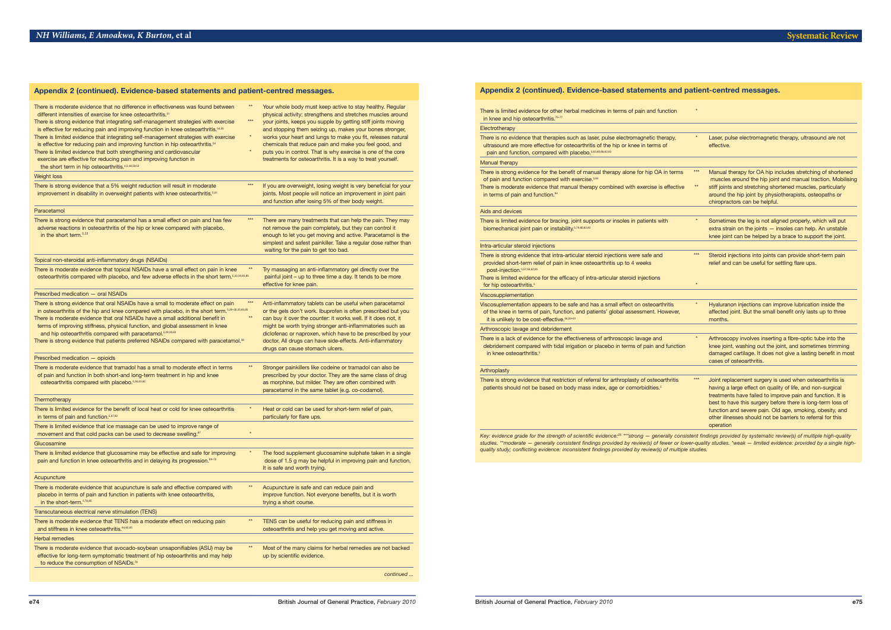| There is moderate evidence that no difference in effectiveness was found between<br>different intensities of exercise for knee osteoarthritis. <sup>51</sup><br>There is strong evidence that integrating self-management strategies with exercise<br>is effective for reducing pain and improving function in knee osteoarthritis. <sup>54,55</sup><br>There is limited evidence that integrating self-management strategies with exercise<br>is effective for reducing pain and improving function in hip osteoarthritis. <sup>54</sup><br>There is limited evidence that both strengthening and cardiovascular<br>exercise are effective for reducing pain and improving function in<br>the short term in hip osteoarthritis. <sup>4,5,48,50,52</sup> | $**$<br>***<br>$\ast$<br>$\star$ | Your whole body must keep active to stay healthy. Regular<br>physical activity: strengthens and stretches muscles around<br>your joints, keeps you supple by getting stiff joints moving<br>and stopping them seizing up, makes your bones stronger,<br>works your heart and lungs to make you fit, releases natural<br>chemicals that reduce pain and make you feel good, and<br>puts you in control. That is why exercise is one of the core<br>treatments for osteoarthritis. It is a way to treat yourself. |
|----------------------------------------------------------------------------------------------------------------------------------------------------------------------------------------------------------------------------------------------------------------------------------------------------------------------------------------------------------------------------------------------------------------------------------------------------------------------------------------------------------------------------------------------------------------------------------------------------------------------------------------------------------------------------------------------------------------------------------------------------------|----------------------------------|-----------------------------------------------------------------------------------------------------------------------------------------------------------------------------------------------------------------------------------------------------------------------------------------------------------------------------------------------------------------------------------------------------------------------------------------------------------------------------------------------------------------|
| <b>Weight loss</b>                                                                                                                                                                                                                                                                                                                                                                                                                                                                                                                                                                                                                                                                                                                                       |                                  |                                                                                                                                                                                                                                                                                                                                                                                                                                                                                                                 |
| There is strong evidence that a 5% weight reduction will result in moderate<br>improvement in disability in overweight patients with knee osteoarthritis. <sup>5,81</sup>                                                                                                                                                                                                                                                                                                                                                                                                                                                                                                                                                                                | ***                              | If you are overweight, losing weight is very beneficial for your<br>joints. Most people will notice an improvement in joint pain<br>and function after losing 5% of their body weight.                                                                                                                                                                                                                                                                                                                          |
| Paracetamol                                                                                                                                                                                                                                                                                                                                                                                                                                                                                                                                                                                                                                                                                                                                              |                                  |                                                                                                                                                                                                                                                                                                                                                                                                                                                                                                                 |
| There is strong evidence that paracetamol has a small effect on pain and has few<br>adverse reactions in osteoarthritis of the hip or knee compared with placebo,<br>in the short term. <sup>5,33</sup>                                                                                                                                                                                                                                                                                                                                                                                                                                                                                                                                                  | ***                              | There are many treatments that can help the pain. They may<br>not remove the pain completely, but they can control it<br>enough to let you get moving and active. Paracetamol is the<br>simplest and safest painkiller. Take a regular dose rather than<br>waiting for the pain to get too bad.                                                                                                                                                                                                                 |
| Topical non-steroidal anti-inflammatory drugs (NSAIDs)                                                                                                                                                                                                                                                                                                                                                                                                                                                                                                                                                                                                                                                                                                   |                                  |                                                                                                                                                                                                                                                                                                                                                                                                                                                                                                                 |
| There is moderate evidence that topical NSAIDs have a small effect on pain in knee<br>osteoarthritis compared with placebo, and few adverse effects in the short term. 5,32,34,83,85                                                                                                                                                                                                                                                                                                                                                                                                                                                                                                                                                                     |                                  | Try massaging an anti-inflammatory gel directly over the<br>painful joint - up to three time a day. It tends to be more<br>effective for knee pain.                                                                                                                                                                                                                                                                                                                                                             |
| Prescribed medication - oral NSAIDs                                                                                                                                                                                                                                                                                                                                                                                                                                                                                                                                                                                                                                                                                                                      |                                  |                                                                                                                                                                                                                                                                                                                                                                                                                                                                                                                 |
| There is strong evidence that oral NSAIDs have a small to moderate effect on pain<br>in osteoarthritis of the hip and knee compared with placebo, in the short term. <sup>5,28-30,35,83,85</sup><br>There is moderate evidence that oral NSAIDs have a small additional benefit in<br>terms of improving stiffness, physical function, and global assessment in knee<br>and hip osteoarthritis compared with paracetamol. 5,29,30,83<br>There is strong evidence that patients preferred NSAIDs compared with paracetamol. <sup>30</sup>                                                                                                                                                                                                                 | $***$<br>$**$                    | Anti-inflammatory tablets can be useful when paracetamol<br>or the gels don't work. Ibuprofen is often prescribed but you<br>can buy it over the counter: it works well. If it does not, it<br>might be worth trying stronger anti-inflammatories such as<br>diclofenac or naproxen, which have to be prescribed by your<br>doctor. All drugs can have side-effects. Anti-inflammatory<br>drugs can cause stomach ulcers.                                                                                       |
| Prescribed medication - opioids                                                                                                                                                                                                                                                                                                                                                                                                                                                                                                                                                                                                                                                                                                                          |                                  |                                                                                                                                                                                                                                                                                                                                                                                                                                                                                                                 |
| There is moderate evidence that tramadol has a small to moderate effect in terms<br>of pain and function in both short-and long-term treatment in hip and knee<br>osteoarthritis compared with placebo. 5,36,83,85                                                                                                                                                                                                                                                                                                                                                                                                                                                                                                                                       | $\star\star$                     | Stronger painkillers like codeine or tramadol can also be<br>prescribed by your doctor. They are the same class of drug<br>as morphine, but milder. They are often combined with<br>paracetamol in the same tablet (e.g. co-codamol).                                                                                                                                                                                                                                                                           |
| Thermotherapy                                                                                                                                                                                                                                                                                                                                                                                                                                                                                                                                                                                                                                                                                                                                            |                                  |                                                                                                                                                                                                                                                                                                                                                                                                                                                                                                                 |
| There is limited evidence for the benefit of local heat or cold for knee osteoarthritis<br>in terms of pain and function. <sup>5,67,82</sup>                                                                                                                                                                                                                                                                                                                                                                                                                                                                                                                                                                                                             |                                  | Heat or cold can be used for short-term relief of pain,<br>particularly for flare ups.                                                                                                                                                                                                                                                                                                                                                                                                                          |
| There is limited evidence that ice massage can be used to improve range of<br>movement and that cold packs can be used to decrease swelling. <sup>67</sup>                                                                                                                                                                                                                                                                                                                                                                                                                                                                                                                                                                                               |                                  |                                                                                                                                                                                                                                                                                                                                                                                                                                                                                                                 |
| Glucosamine                                                                                                                                                                                                                                                                                                                                                                                                                                                                                                                                                                                                                                                                                                                                              |                                  |                                                                                                                                                                                                                                                                                                                                                                                                                                                                                                                 |
| There is limited evidence that glucosamine may be effective and safe for improving<br>pain and function in knee osteoarthritis and in delaying its progression. <sup>69-72</sup>                                                                                                                                                                                                                                                                                                                                                                                                                                                                                                                                                                         |                                  | The food supplement glucosamine sulphate taken in a single<br>dose of 1.5 g may be helpful in improving pain and function.<br>It is safe and worth trying.                                                                                                                                                                                                                                                                                                                                                      |
| Acupuncture                                                                                                                                                                                                                                                                                                                                                                                                                                                                                                                                                                                                                                                                                                                                              |                                  |                                                                                                                                                                                                                                                                                                                                                                                                                                                                                                                 |
| There is moderate evidence that acupuncture is safe and effective compared with<br>placebo in terms of pain and function in patients with knee osteoarthritis,<br>in the short-term. <sup>5,78,85</sup>                                                                                                                                                                                                                                                                                                                                                                                                                                                                                                                                                  | $**$                             | Acupuncture is safe and can reduce pain and<br>improve function. Not everyone benefits, but it is worth<br>trying a short course.                                                                                                                                                                                                                                                                                                                                                                               |
| Transcutaneous electrical nerve stimulation (TENS)                                                                                                                                                                                                                                                                                                                                                                                                                                                                                                                                                                                                                                                                                                       |                                  |                                                                                                                                                                                                                                                                                                                                                                                                                                                                                                                 |
| There is moderate evidence that TENS has a moderate effect on reducing pain<br>and stiffness in knee osteoarthritis. <sup>64,82,85</sup>                                                                                                                                                                                                                                                                                                                                                                                                                                                                                                                                                                                                                 | $**$                             | TENS can be useful for reducing pain and stiffness in<br>osteoarthritis and help you get moving and active.                                                                                                                                                                                                                                                                                                                                                                                                     |
| <b>Herbal remedies</b>                                                                                                                                                                                                                                                                                                                                                                                                                                                                                                                                                                                                                                                                                                                                   |                                  |                                                                                                                                                                                                                                                                                                                                                                                                                                                                                                                 |
| There is moderate evidence that avocado-soybean unsaponifiables (ASU) may be<br>effective for long-term symptomatic treatment of hip osteoarthritis and may help<br>to reduce the consumption of NSAIDs. <sup>76</sup>                                                                                                                                                                                                                                                                                                                                                                                                                                                                                                                                   | $**$                             | Most of the many claims for herbal remedies are not backed<br>up by scientific evidence.                                                                                                                                                                                                                                                                                                                                                                                                                        |
|                                                                                                                                                                                                                                                                                                                                                                                                                                                                                                                                                                                                                                                                                                                                                          |                                  | continued                                                                                                                                                                                                                                                                                                                                                                                                                                                                                                       |

*Key:* evidence grade for the strength of **s** <sup>25</sup> *\*\*\*strong — generally consistent findings provided by systematic review(s) of multiple high-quality* studies. \*\*moderate — generally consistent findings provided by review(s) of fewer or lower-quality studies. \*weak — limited evidence: provided by a single high*quality study; conflicting evidence: inconsistent findings provided by review(s) of multiple studies.*

# **Appendix 2 (continued). Evidence-based statements and patient-centred messages.**

#### $M$

#### Aids and devices

| There is limited evidence for other herbal medicines in terms of pain and function<br>in knee and hip osteoarthritis. <sup>75-77</sup><br>Electrotherapy                                                                                                                                   |               |                                                                                                                                                                                                                                                                                                                                                                                             |
|--------------------------------------------------------------------------------------------------------------------------------------------------------------------------------------------------------------------------------------------------------------------------------------------|---------------|---------------------------------------------------------------------------------------------------------------------------------------------------------------------------------------------------------------------------------------------------------------------------------------------------------------------------------------------------------------------------------------------|
| There is no evidence that therapies such as laser, pulse electromagnetic therapy,<br>ultrasound are more effective for osteoarthritis of the hip or knee in terms of<br>pain and function, compared with placebo. 5,63,65,68,82,83                                                         |               | Laser, pulse electromagnetic therapy, ultrasound are not<br>effective.                                                                                                                                                                                                                                                                                                                      |
| Manual therapy                                                                                                                                                                                                                                                                             |               |                                                                                                                                                                                                                                                                                                                                                                                             |
| There is strong evidence for the benefit of manual therapy alone for hip OA in terms<br>of pain and function compared with exercise. <sup>5,84</sup><br>There is moderate evidence that manual therapy combined with exercise is effective<br>in terms of pain and function. <sup>84</sup> | $***$<br>$**$ | Manual therapy for OA hip includes stretching of shortened<br>muscles around the hip joint and manual traction. Mobilising<br>stiff joints and stretching shortened muscles, particularly<br>around the hip joint by physiotherapists, osteopaths or<br>chiropractors can be helpful.                                                                                                       |
| Aids and devices                                                                                                                                                                                                                                                                           |               |                                                                                                                                                                                                                                                                                                                                                                                             |
| There is limited evidence for bracing, joint supports or insoles in patients with<br>biomechanical joint pain or instability. <sup>5,79,80,83,85</sup>                                                                                                                                     |               | Sometimes the leg is not aligned properly, which will put<br>extra strain on the joints - insoles can help. An unstable<br>knee joint can be helped by a brace to support the joint.                                                                                                                                                                                                        |
| Intra-articular steroid injections                                                                                                                                                                                                                                                         |               |                                                                                                                                                                                                                                                                                                                                                                                             |
| There is strong evidence that intra-articular steroid injections were safe and<br>provided short-term relief of pain in knee osteoarthritis up to 4 weeks<br>post-injection. 5,57,58,62,85                                                                                                 | $***$         | Steroid injections into joints can provide short-term pain<br>relief and can be useful for settling flare ups.                                                                                                                                                                                                                                                                              |
| There is limited evidence for the efficacy of intra-articular steroid injections<br>for hip osteoarthritis. <sup>5</sup>                                                                                                                                                                   |               |                                                                                                                                                                                                                                                                                                                                                                                             |
| Viscosupplementation                                                                                                                                                                                                                                                                       |               |                                                                                                                                                                                                                                                                                                                                                                                             |
| Viscosuplementation appears to be safe and has a small effect on osteoarthritis<br>of the knee in terms of pain, function, and patients' global assessment. However,<br>it is unlikely to be cost-effective. 56,59-61                                                                      |               | Hyaluranon injections can improve lubrication inside the<br>affected joint. But the small benefit only lasts up to three<br>months.                                                                                                                                                                                                                                                         |
| Arthroscopic lavage and debridement                                                                                                                                                                                                                                                        |               |                                                                                                                                                                                                                                                                                                                                                                                             |
| There is a lack of evidence for the effectiveness of arthroscopic lavage and<br>debridement compared with tidal irrigation or placebo in terms of pain and function<br>in knee osteoarthritis. <sup>5</sup>                                                                                |               | Arthroscopy involves inserting a fibre-optic tube into the<br>knee joint, washing out the joint, and sometimes trimming<br>damaged cartilage. It does not give a lasting benefit in most<br>cases of osteoarthritis.                                                                                                                                                                        |
| Arthroplasty                                                                                                                                                                                                                                                                               |               |                                                                                                                                                                                                                                                                                                                                                                                             |
| There is strong evidence that restriction of referral for arthroplasty of osteoarthritis<br>patients should not be based on body mass index, age or comorbidities. <sup>5</sup>                                                                                                            | $***$         | Joint replacement surgery is used when osteoarthritis is<br>having a large effect on quality of life, and non-surgical<br>treatments have failed to improve pain and function. It is<br>best to have this surgery before there is long-term loss of<br>function and severe pain. Old age, smoking, obesity, and<br>other illnesses should not be barriers to referral for this<br>operation |
| $25***-1$                                                                                                                                                                                                                                                                                  |               |                                                                                                                                                                                                                                                                                                                                                                                             |

#### Ar

# **Appendix 2 (continued). Evidence-based statements and patient-centred messages.**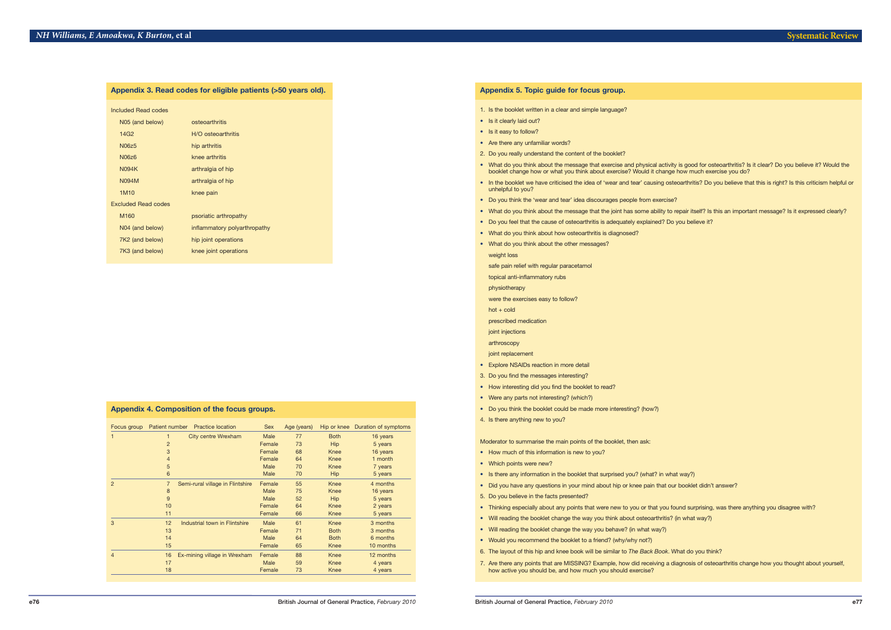| Appendix 3. Read codes for eligible patients (>50 years old). |                              |  |  |  |  |  |  |  |  |  |
|---------------------------------------------------------------|------------------------------|--|--|--|--|--|--|--|--|--|
| Included Read codes                                           |                              |  |  |  |  |  |  |  |  |  |
| N05 (and below)                                               | osteoarthritis               |  |  |  |  |  |  |  |  |  |
| 14G <sub>2</sub>                                              | H/O osteoarthritis           |  |  |  |  |  |  |  |  |  |
| <b>N06z5</b>                                                  | hip arthritis                |  |  |  |  |  |  |  |  |  |
| N06z6                                                         | knee arthritis               |  |  |  |  |  |  |  |  |  |
| <b>N094K</b>                                                  | arthralgia of hip            |  |  |  |  |  |  |  |  |  |
| <b>N094M</b>                                                  | arthralgia of hip            |  |  |  |  |  |  |  |  |  |
| 1M <sub>10</sub>                                              | knee pain                    |  |  |  |  |  |  |  |  |  |
| <b>Excluded Read codes</b>                                    |                              |  |  |  |  |  |  |  |  |  |
| M160                                                          | psoriatic arthropathy        |  |  |  |  |  |  |  |  |  |
| N04 (and below)                                               | inflammatory polyarthropathy |  |  |  |  |  |  |  |  |  |
| 7K2 (and below)                                               | hip joint operations         |  |  |  |  |  |  |  |  |  |
| 7K3 (and below)                                               | knee joint operations        |  |  |  |  |  |  |  |  |  |

| Appendix 4. Composition of the focus groups. |                |                                  |             |             |             |                      |  |  |  |  |  |  |  |
|----------------------------------------------|----------------|----------------------------------|-------------|-------------|-------------|----------------------|--|--|--|--|--|--|--|
| Focus group                                  | Patient number | <b>Practice location</b>         | <b>Sex</b>  | Age (years) | Hip or knee | Duration of symptoms |  |  |  |  |  |  |  |
| 1                                            | 1              | <b>City centre Wrexham</b>       | <b>Male</b> | 77          | <b>Both</b> | 16 years             |  |  |  |  |  |  |  |
|                                              | $\overline{2}$ |                                  | Female      | 73          | Hip         | 5 years              |  |  |  |  |  |  |  |
|                                              | 3              |                                  | Female      | 68          | Knee        | 16 years             |  |  |  |  |  |  |  |
|                                              | $\overline{4}$ |                                  | Female      | 64          | Knee        | 1 month              |  |  |  |  |  |  |  |
|                                              | 5              |                                  | Male        | 70          | Knee        | 7 years              |  |  |  |  |  |  |  |
|                                              | 6              |                                  | Male        | 70          | <b>Hip</b>  | 5 years              |  |  |  |  |  |  |  |
| $\overline{2}$                               | $\overline{7}$ | Semi-rural village in Flintshire | Female      | 55          | Knee        | 4 months             |  |  |  |  |  |  |  |
|                                              | 8              |                                  | Male        | 75          | Knee        | 16 years             |  |  |  |  |  |  |  |
|                                              | 9              |                                  | Male        | 52          | Hip         | 5 years              |  |  |  |  |  |  |  |
|                                              | 10             |                                  | Female      | 64          | Knee        | 2 years              |  |  |  |  |  |  |  |
|                                              | 11             |                                  | Female      | 66          | Knee        | 5 years              |  |  |  |  |  |  |  |
| 3                                            | 12             | Industrial town in Flintshire    | Male        | 61          | Knee        | 3 months             |  |  |  |  |  |  |  |
|                                              | 13             |                                  | Female      | 71          | <b>Both</b> | 3 months             |  |  |  |  |  |  |  |
|                                              | 14             |                                  | Male        | 64          | <b>Both</b> | 6 months             |  |  |  |  |  |  |  |
|                                              | 15             |                                  | Female      | 65          | Knee        | 10 months            |  |  |  |  |  |  |  |
| $\overline{4}$                               | 16             | Ex-mining village in Wrexham     | Female      | 88          | Knee        | 12 months            |  |  |  |  |  |  |  |
|                                              | 17             |                                  | Male        | 59          | Knee        | 4 years              |  |  |  |  |  |  |  |
|                                              | 18             |                                  | Female      | 73          | Knee        | 4 years              |  |  |  |  |  |  |  |

• What do you think about the message that exercise and physical activity is good for osteoarthritis? Is it clear? Do you believe it? Would the

- 1. Is the booklet written in a clear and simple language?
- Is it clearly laid out?
- Is it easy to follow?
- Are there any unfamiliar words?
- 2. Do you really understand the content of the booklet?
- booklet change how or what you think about exercise? Would it change how much exercise you do?
- unhelpful to you?
- Do you think the 'wear and tear' idea discourages people from exercise?
- 
- Do you feel that the cause of osteoarthritis is adequately explained? Do you believe it?
- What do you think about how osteoarthritis is diagnosed?
- What do you think about the other messages?

• In the booklet we have criticised the idea of 'wear and tear' causing osteoarthritis? Do you believe that this is right? Is this criticism helpful or

• What do you think about the message that the joint has some ability to repair itself? Is this an important message? Is it expressed clearly?

weight loss

safe pain relief with regular paracetamol

topical anti-inflammatory rubs

physiotherapy

were the exercises easy to follow?

hot + cold

prescribed medication

joint injections

arthroscopy

- joint replacement
- Explore NSAIDs reaction in more detail
- 3. Do you find the messages interesting?
- How interesting did you find the booklet to read?
- Were any parts not interesting? (which?)
- Do you think the booklet could be made more interesting? (how?)
- 4. Is there anything new to you?

Moderator to summarise the main points of the booklet, then ask:

- How much of this information is new to you?
- Which points were new?
- Is there any information in the booklet that surprised you? (what? in what way?)
- Did you have any questions in your mind about hip or knee pain that our booklet didn't answer?
- 5. Do you believe in the facts presented?
- Thinking especially about any points that were new to you or that you found surprising, was there anything you disagree with?
- Will reading the booklet change the way you think about osteoarthritis? (in what way?)
- Will reading the booklet change the way you behave? (in what way?)
- Would you recommend the booklet to a friend? (why/why not?)
- 6. The layout of this hip and knee book will be similar to *The Back Book*. What do you think?
- how active you should be, and how much you should exercise?

7. Are there any points that are MISSING? Example, how did receiving a diagnosis of osteoarthritis change how you thought about yourself,

# **Appendix 5. Topic guide for focus group.**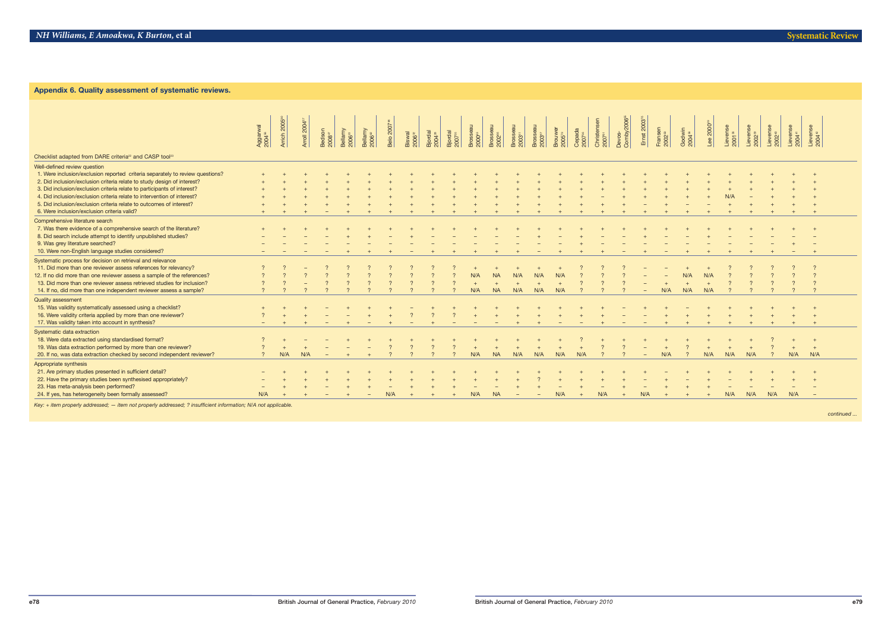| <b>Appendix 6. Guality assessment of systematic reviews.</b>                   |                                |                          |             |                              |                               |                               |                  |                              |                          |                       |                |           |                                |                                |                               |                              |                                   |                                   |                        |                               |                              |                       |                                |     |     |     |          |
|--------------------------------------------------------------------------------|--------------------------------|--------------------------|-------------|------------------------------|-------------------------------|-------------------------------|------------------|------------------------------|--------------------------|-----------------------|----------------|-----------|--------------------------------|--------------------------------|-------------------------------|------------------------------|-----------------------------------|-----------------------------------|------------------------|-------------------------------|------------------------------|-----------------------|--------------------------------|-----|-----|-----|----------|
|                                                                                |                                | Arrich 2005 <sup>®</sup> |             |                              |                               |                               |                  |                              |                          |                       |                |           |                                |                                |                               |                              |                                   | Devos-<br>Comby2006 <sup>ss</sup> |                        |                               |                              |                       |                                |     |     |     |          |
|                                                                                | Aggarwal<br>2004 <sup>56</sup> |                          | Arroll 2004 |                              |                               |                               | <b>Belo</b> 2007 |                              |                          |                       |                | Brosseau  | Brosseau<br>2003 <sup>51</sup> | Brosseau<br>2003 <sup>67</sup> | Brouwer<br>2005 <sup>78</sup> |                              | Christensen<br>2007 <sup>s:</sup> |                                   | Emst 2003 <sup>"</sup> |                               |                              | Lee 2000 <sup>2</sup> | Lievense<br>2001 <sup>38</sup> |     |     |     |          |
|                                                                                |                                |                          |             | Bedson<br>2008 <sup>47</sup> | Bellamy<br>2006 <sup>61</sup> | Bellamy<br>2006 <sup>82</sup> |                  | Biswal<br>2006 <sup>32</sup> | $3jordal$<br>$2004^{28}$ | $3jordal$<br>$200735$ | arossea<br>ang |           |                                |                                |                               | Cepada<br>2007 <sup>36</sup> |                                   |                                   |                        | Fransen<br>2002 <sup>50</sup> | Godwin<br>2004 <sup>58</sup> |                       |                                |     |     |     |          |
|                                                                                |                                |                          |             |                              |                               |                               |                  |                              |                          |                       |                |           |                                |                                |                               |                              |                                   |                                   |                        |                               |                              |                       |                                |     |     |     |          |
| Checklist adapted from DARE criteria <sup>22</sup> and CASP tool <sup>23</sup> |                                |                          |             |                              |                               |                               |                  |                              |                          |                       |                |           |                                |                                |                               |                              |                                   |                                   |                        |                               |                              |                       |                                |     |     |     |          |
| Well-defined review question                                                   |                                |                          |             |                              |                               |                               |                  |                              |                          |                       |                |           |                                |                                |                               |                              |                                   |                                   |                        |                               |                              |                       |                                |     |     |     |          |
| 1. Were inclusion/exclusion reported criteria separately to review questions?  |                                |                          |             |                              |                               |                               |                  |                              |                          |                       |                |           |                                |                                |                               |                              |                                   |                                   |                        |                               |                              |                       |                                |     |     |     |          |
| 2. Did inclusion/exclusion criteria relate to study design of interest?        |                                |                          |             |                              |                               |                               |                  |                              |                          |                       |                |           |                                |                                |                               |                              |                                   |                                   |                        |                               |                              |                       |                                |     |     |     |          |
| 3. Did inclusion/exclusion criteria relate to participants of interest?        |                                |                          |             |                              |                               |                               |                  |                              |                          |                       |                |           |                                |                                |                               |                              |                                   |                                   |                        |                               |                              |                       |                                |     |     |     |          |
| 4. Did inclusion/exclusion criteria relate to intervention of interest?        |                                |                          |             |                              |                               |                               |                  |                              |                          |                       |                |           |                                |                                |                               |                              |                                   |                                   |                        |                               |                              |                       |                                |     |     |     |          |
| 5. Did inclusion/exclusion criteria relate to outcomes of interest?            |                                |                          |             |                              |                               |                               |                  |                              |                          |                       |                |           |                                |                                |                               |                              |                                   |                                   |                        |                               |                              |                       |                                |     |     |     |          |
| 6. Were inclusion/exclusion criteria valid?                                    |                                |                          |             |                              |                               |                               |                  |                              |                          |                       |                |           |                                |                                |                               |                              |                                   |                                   |                        |                               |                              |                       |                                |     |     |     |          |
| Comprehensive literature search                                                |                                |                          |             |                              |                               |                               |                  |                              |                          |                       |                |           |                                |                                |                               |                              |                                   |                                   |                        |                               |                              |                       |                                |     |     |     |          |
| 7. Was there evidence of a comprehensive search of the literature?             |                                |                          |             |                              |                               |                               |                  |                              |                          |                       |                |           |                                |                                |                               |                              |                                   |                                   |                        |                               |                              |                       |                                |     |     |     |          |
| 8. Did search include attempt to identify unpublished studies?                 |                                |                          |             |                              |                               |                               |                  |                              |                          |                       |                |           |                                |                                |                               |                              |                                   |                                   |                        |                               |                              |                       |                                |     |     |     |          |
| 9. Was grey literature searched?                                               |                                |                          |             |                              |                               |                               |                  |                              |                          |                       |                |           |                                |                                |                               |                              |                                   |                                   |                        |                               |                              |                       |                                |     |     |     |          |
| 10. Were non-English language studies considered?                              |                                |                          |             |                              |                               |                               |                  |                              |                          |                       |                |           |                                |                                |                               |                              |                                   |                                   |                        |                               |                              |                       |                                |     |     |     |          |
| Systematic process for decision on retrieval and relevance                     |                                |                          |             |                              |                               |                               |                  |                              |                          |                       |                |           |                                |                                |                               |                              |                                   |                                   |                        |                               |                              |                       |                                |     |     |     |          |
| 11. Did more than one reviewer assess references for relevancy?                |                                |                          |             |                              |                               |                               |                  |                              |                          |                       |                |           |                                |                                |                               |                              |                                   |                                   |                        |                               |                              |                       |                                |     |     |     |          |
| 12. If no did more than one reviewer assess a sample of the references?        |                                |                          |             |                              |                               |                               |                  |                              |                          |                       | N/A            | <b>NA</b> | N/A                            | N/A                            | N/A                           |                              |                                   |                                   |                        |                               | N/A                          | N/F                   |                                |     |     |     |          |
| 13. Did more than one reviewer assess retrieved studies for inclusion?         |                                |                          |             |                              |                               |                               |                  |                              |                          |                       |                |           |                                |                                |                               |                              |                                   |                                   |                        |                               |                              |                       |                                |     |     |     |          |
| 14. If no, did more than one independent reviewer assess a sample?             |                                |                          |             |                              |                               |                               |                  |                              |                          |                       | N/A            | <b>NA</b> | N/A                            | N/A                            | N/A                           |                              |                                   |                                   |                        | N/A                           | N/A                          | N/A                   |                                |     |     |     | $\gamma$ |
|                                                                                |                                |                          |             |                              |                               |                               |                  |                              |                          |                       |                |           |                                |                                |                               |                              |                                   |                                   |                        |                               |                              |                       |                                |     |     |     |          |
| <b>Quality assessment</b>                                                      |                                |                          |             |                              |                               |                               |                  |                              |                          |                       |                |           |                                |                                |                               |                              |                                   |                                   |                        |                               |                              |                       |                                |     |     |     |          |
| 15. Was validity systematically assessed using a checklist?                    |                                |                          |             |                              |                               |                               |                  |                              |                          |                       |                |           |                                |                                |                               |                              |                                   |                                   |                        |                               |                              |                       |                                |     |     |     |          |
| 16. Were validity criteria applied by more than one reviewer?                  |                                |                          |             |                              |                               |                               |                  |                              |                          |                       |                |           |                                |                                |                               |                              |                                   |                                   |                        |                               |                              |                       |                                |     |     |     |          |
| 17. Was validity taken into account in synthesis?                              |                                |                          |             |                              |                               |                               |                  |                              |                          |                       | $-$            | $-$       |                                |                                | $-$                           | $-$                          |                                   |                                   |                        |                               |                              |                       |                                |     |     |     | $+$      |
| Systematic data extraction                                                     |                                |                          |             |                              |                               |                               |                  |                              |                          |                       |                |           |                                |                                |                               |                              |                                   |                                   |                        |                               |                              |                       |                                |     |     |     |          |
| 18. Were data extracted using standardised format?                             |                                |                          |             |                              |                               |                               |                  |                              |                          |                       |                |           |                                |                                |                               |                              |                                   |                                   |                        |                               |                              |                       |                                |     |     |     |          |
| 19. Was data extraction performed by more than one reviewer?                   |                                |                          |             |                              |                               |                               |                  |                              |                          |                       |                |           |                                |                                |                               |                              |                                   |                                   |                        |                               |                              |                       |                                |     |     |     | $+$      |
| 20. If no, was data extraction checked by second independent reviewer?         |                                | N/A                      | N/A         |                              |                               |                               |                  |                              |                          |                       | N/A            | <b>NA</b> | N/A                            | N/A                            | N/A                           | N/A                          |                                   |                                   |                        | N/A                           |                              | N/A                   | N/A                            | N/A |     | N/A | N/A      |
| Appropriate synthesis                                                          |                                |                          |             |                              |                               |                               |                  |                              |                          |                       |                |           |                                |                                |                               |                              |                                   |                                   |                        |                               |                              |                       |                                |     |     |     |          |
| 21. Are primary studies presented in sufficient detail?                        |                                |                          |             |                              |                               |                               |                  |                              |                          |                       |                |           |                                |                                |                               |                              |                                   |                                   |                        |                               |                              |                       |                                |     |     |     |          |
| 22. Have the primary studies been synthesised appropriately?                   |                                |                          |             |                              |                               |                               |                  |                              |                          |                       |                |           |                                |                                |                               |                              |                                   |                                   |                        |                               |                              |                       |                                |     |     |     |          |
| 23. Has meta-analysis been performed?                                          |                                |                          |             |                              |                               |                               |                  |                              |                          |                       |                |           |                                |                                |                               |                              |                                   |                                   |                        |                               |                              |                       |                                |     |     |     |          |
| 24. If yes, has heterogeneity been formally assessed?                          | N/A                            |                          |             |                              |                               |                               | N/A              |                              |                          |                       | N/A            | <b>NA</b> |                                |                                | N/A                           |                              | N/A                               |                                   | N/A                    |                               |                              |                       | N/A                            | N/A | N/A | N/A |          |

*Key: + item properly addressed; — item not properly addressed; ? insufficient information; N/A not applicable.*

*continued ...*

# **Appendix 6. Quality assessment of systematic reviews.**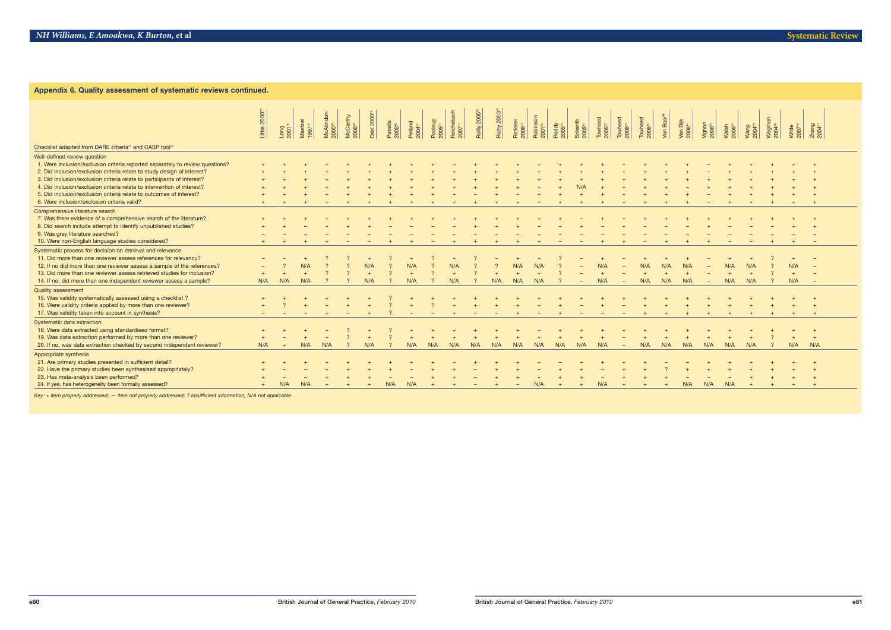| Appendix 6. Quality assessment of systematic reviews continued.                                                                                                                                                                                                                                                                                          |                           |            |                               |                                 |                                |                         |                              |                              |                      |                                  |                           |            |                                |                                |                            |                                |                                                 |                                      |                               |        |                                |                              |                             |     |                              |     |                      |
|----------------------------------------------------------------------------------------------------------------------------------------------------------------------------------------------------------------------------------------------------------------------------------------------------------------------------------------------------------|---------------------------|------------|-------------------------------|---------------------------------|--------------------------------|-------------------------|------------------------------|------------------------------|----------------------|----------------------------------|---------------------------|------------|--------------------------------|--------------------------------|----------------------------|--------------------------------|-------------------------------------------------|--------------------------------------|-------------------------------|--------|--------------------------------|------------------------------|-----------------------------|-----|------------------------------|-----|----------------------|
|                                                                                                                                                                                                                                                                                                                                                          | Little 2000 <sup>77</sup> | $-0.00175$ | Maetzel<br>1997 <sup>37</sup> | McAlindon<br>2000 <sup>es</sup> | McCarthy<br>2006 <sup>68</sup> | Osiri 2000 <sup>e</sup> | atrella<br>000 <sup>49</sup> | Pelland<br>004 <sup>52</sup> | $\frac{1}{2}$ oolsup | Reichebach<br>2007 <sup>73</sup> | Reilly 2005 <sup>80</sup> | Richy 2003 | Rintelen<br>2006 <sup>74</sup> | Robinson<br>2001 <sup>65</sup> | Roddy<br>005 <sup>53</sup> | irikanth<br>:005 <sup>43</sup> | $\frac{1}{2}$<br>$\frac{1}{2}$<br>$\frac{1}{2}$ | <b>Towheed</b><br>2006 <sup>34</sup> | Towheed<br>2006 <sup>33</sup> | /an Ba | Van Dijk<br>2006 <sup>44</sup> | /ignon<br>2006 <sup>45</sup> | Malsh<br>2006 <sup>54</sup> |     | Megman<br>2004 <sup>30</sup> |     | $2004$ <sup>31</sup> |
| Checklist adapted from DARE criteria <sup>22</sup> and CASP tool <sup>23</sup>                                                                                                                                                                                                                                                                           |                           |            |                               |                                 |                                |                         |                              |                              |                      |                                  |                           |            |                                |                                |                            |                                |                                                 |                                      |                               |        |                                |                              |                             |     |                              |     |                      |
| Well-defined review question<br>1. Were inclusion/exclusion criteria reported separately to review questions?<br>2. Did inclusion/exclusion criteria relate to study design of interest?<br>3. Did inclusion/exclusion criteria relate to participants of interest?<br>4. Did inclusion/exclusion criteria relate to intervention of interest?           |                           |            |                               |                                 |                                |                         |                              |                              |                      |                                  |                           |            |                                |                                |                            |                                |                                                 |                                      |                               |        |                                |                              |                             |     |                              |     |                      |
| 5. Did inclusion/exclusion criteria relate to outcomes of interest?<br>6. Were inclusion/exclusion criteria valid?                                                                                                                                                                                                                                       |                           |            |                               |                                 |                                |                         |                              |                              |                      |                                  |                           |            |                                |                                |                            |                                |                                                 |                                      |                               |        |                                |                              |                             |     |                              |     |                      |
| Comprehensive literature search<br>7. Was there evidence of a comprehensive search of the literature?<br>8. Did search include attempt to identify unpublished studies?<br>9. Was grey literature searched?<br>10. Were non-English language studies considered?                                                                                         |                           |            |                               |                                 |                                |                         |                              |                              |                      |                                  |                           |            |                                |                                |                            |                                |                                                 |                                      |                               |        |                                |                              |                             |     |                              |     |                      |
| Systematic process for decision on retrieval and relevance<br>11. Did more than one reviewer assess references for relevancy?<br>12. If no did more than one reviewer assess a sample of the references?<br>13. Did more than one reviewer assess retrieved studies for inclusion?<br>14. If no, did more than one independent reviewer assess a sample? | N/A                       | N/A        | N/A                           |                                 |                                | N/A                     |                              | N/A                          |                      | N/A                              |                           | N/A        | N/A<br>N/A                     | N/A<br>N/A                     |                            |                                | N/A                                             |                                      | N/A                           | N/A    | N/A                            |                              | N/A<br>N/A                  | N/A |                              | N/A |                      |
| <b>Quality assessment</b><br>15. Was validity systematically assessed using a checklist?<br>16. Were validity criteria applied by more than one reviewer?<br>17. Was validity taken into account in synthesis?                                                                                                                                           |                           |            |                               |                                 |                                |                         |                              |                              |                      |                                  |                           |            |                                |                                |                            |                                |                                                 |                                      |                               |        |                                |                              |                             |     |                              |     |                      |
| Systematic data extraction<br>18. Were data extracted using standardised format?<br>19. Was data extraction performed by more than one reviewer?<br>20. If no, was data extraction checked by second independent reviewer?                                                                                                                               | N/A                       |            | N/A                           | N/A                             |                                |                         |                              |                              |                      |                                  |                           |            |                                | N/A                            | N/A                        | N/A                            | N/A                                             |                                      | N/A                           | N/A    | N/A                            | N/A                          | N/A                         | N/A |                              | N/A | $+$<br>N/A           |
| Appropriate synthesis<br>21. Are primary studies presented in sufficient detail?<br>22. Have the primary studies been synthesised appropriately?<br>23. Has meta-analysis been performed?                                                                                                                                                                |                           |            |                               |                                 |                                |                         |                              |                              |                      |                                  |                           |            |                                |                                |                            |                                |                                                 |                                      |                               |        |                                |                              |                             |     |                              |     |                      |
| 24. If yes, has heterogeneity been formally assessed?<br>Key: + item properly addressed; - item not properly addressed; ? insufficient information; N/A not applicable.                                                                                                                                                                                  |                           | N/A        | N/A                           |                                 |                                |                         | N/A                          | N/A                          |                      |                                  |                           |            |                                | N/A                            |                            |                                | N/A                                             |                                      |                               |        | N/A                            | N/A                          | N/A                         |     |                              |     |                      |

*Key: + item properly addressed; — item not properly addressed; ? insufficient information; N/A not applicable.*

### **Appendix 6. Quality assessment of systematic reviews continued.**